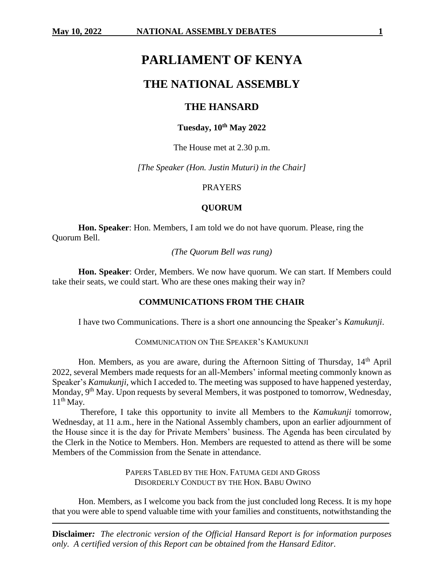# **PARLIAMENT OF KENYA**

## **THE NATIONAL ASSEMBLY**

## **THE HANSARD**

## **Tuesday, 10th May 2022**

The House met at 2.30 p.m.

*[The Speaker (Hon. Justin Muturi) in the Chair]*

#### PRAYERS

## **QUORUM**

**Hon. Speaker**: Hon. Members, I am told we do not have quorum. Please, ring the Quorum Bell.

*(The Quorum Bell was rung)*

**Hon. Speaker**: Order, Members. We now have quorum. We can start. If Members could take their seats, we could start. Who are these ones making their way in?

## **COMMUNICATIONS FROM THE CHAIR**

I have two Communications. There is a short one announcing the Speaker's *Kamukunji*.

COMMUNICATION ON THE SPEAKER'S KAMUKUNJI

Hon. Members, as you are aware, during the Afternoon Sitting of Thursday, 14<sup>th</sup> April 2022, several Members made requests for an all-Members' informal meeting commonly known as Speaker's *Kamukunji,* which I acceded to. The meeting was supposed to have happened yesterday, Monday, 9<sup>th</sup> May. Upon requests by several Members, it was postponed to tomorrow, Wednesday,  $11<sup>th</sup>$  May.

Therefore, I take this opportunity to invite all Members to the *Kamukunji* tomorrow, Wednesday, at 11 a.m., here in the National Assembly chambers, upon an earlier adjournment of the House since it is the day for Private Members' business. The Agenda has been circulated by the Clerk in the Notice to Members. Hon. Members are requested to attend as there will be some Members of the Commission from the Senate in attendance.

> PAPERS TABLED BY THE HON. FATUMA GEDI AND GROSS DISORDERLY CONDUCT BY THE HON. BABU OWINO

Hon. Members, as I welcome you back from the just concluded long Recess. It is my hope that you were able to spend valuable time with your families and constituents, notwithstanding the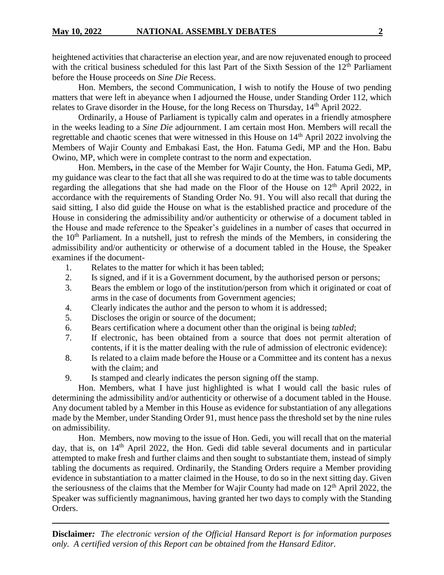heightened activities that characterise an election year, and are now rejuvenated enough to proceed with the critical business scheduled for this last Part of the Sixth Session of the  $12^{th}$  Parliament before the House proceeds on *Sine Die* Recess.

Hon. Members, the second Communication, I wish to notify the House of two pending matters that were left in abeyance when I adjourned the House, under Standing Order 112, which relates to Grave disorder in the House, for the long Recess on Thursday, 14<sup>th</sup> April 2022.

Ordinarily, a House of Parliament is typically calm and operates in a friendly atmosphere in the weeks leading to a *Sine Die* adjournment. I am certain most Hon. Members will recall the regrettable and chaotic scenes that were witnessed in this House on 14<sup>th</sup> April 2022 involving the Members of Wajir County and Embakasi East, the Hon. Fatuma Gedi, MP and the Hon. Babu Owino, MP, which were in complete contrast to the norm and expectation.

Hon. Members**,** in the case of the Member for Wajir County, the Hon. Fatuma Gedi, MP, my guidance was clear to the fact that all she was required to do at the time was to table documents regarding the allegations that she had made on the Floor of the House on  $12<sup>th</sup>$  April 2022, in accordance with the requirements of Standing Order No. 91. You will also recall that during the said sitting, I also did guide the House on what is the established practice and procedure of the House in considering the admissibility and/or authenticity or otherwise of a document tabled in the House and made reference to the Speaker's guidelines in a number of cases that occurred in the 10th Parliament. In a nutshell, just to refresh the minds of the Members, in considering the admissibility and/or authenticity or otherwise of a document tabled in the House, the Speaker examines if the document-

- 1. Relates to the matter for which it has been tabled;
- 2. Is signed, and if it is a Government document, by the authorised person or persons;
- 3. Bears the emblem or logo of the institution/person from which it originated or coat of arms in the case of documents from Government agencies;
- 4. Clearly indicates the author and the person to whom it is addressed;
- 5. Discloses the origin or source of the document;
- 6. Bears certification where a document other than the original is being *tabled*;
- 7. If electronic, has been obtained from a source that does not permit alteration of contents, if it is the matter dealing with the rule of admission of electronic evidence):
- 8. Is related to a claim made before the House or a Committee and its content has a nexus with the claim; and
- 9. Is stamped and clearly indicates the person signing off the stamp.

Hon. Members, what I have just highlighted is what I would call the basic rules of determining the admissibility and/or authenticity or otherwise of a document tabled in the House. Any document tabled by a Member in this House as evidence for substantiation of any allegations made by the Member, under Standing Order 91, must hence pass the threshold set by the nine rules on admissibility.

Hon. Members, now moving to the issue of Hon. Gedi, you will recall that on the material day, that is, on 14<sup>th</sup> April 2022, the Hon. Gedi did table several documents and in particular attempted to make fresh and further claims and then sought to substantiate them, instead of simply tabling the documents as required. Ordinarily, the Standing Orders require a Member providing evidence in substantiation to a matter claimed in the House, to do so in the next sitting day. Given the seriousness of the claims that the Member for Wajir County had made on  $12<sup>th</sup>$  April 2022, the Speaker was sufficiently magnanimous, having granted her two days to comply with the Standing Orders.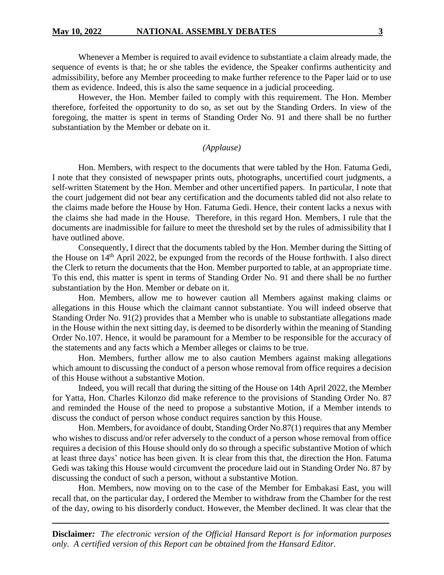Whenever a Member is required to avail evidence to substantiate a claim already made, the sequence of events is that; he or she tables the evidence, the Speaker confirms authenticity and admissibility, before any Member proceeding to make further reference to the Paper laid or to use them as evidence. Indeed, this is also the same sequence in a judicial proceeding.

However, the Hon. Member failed to comply with this requirement. The Hon. Member therefore, forfeited the opportunity to do so, as set out by the Standing Orders. In view of the foregoing, the matter is spent in terms of Standing Order No. 91 and there shall be no further substantiation by the Member or debate on it.

## *(Applause)*

Hon. Members, with respect to the documents that were tabled by the Hon. Fatuma Gedi, I note that they consisted of newspaper prints outs, photographs, uncertified court judgments, a self-written Statement by the Hon. Member and other uncertified papers. In particular, I note that the court judgement did not bear any certification and the documents tabled did not also relate to the claims made before the House by Hon. Fatuma Gedi. Hence, their content lacks a nexus with the claims she had made in the House. Therefore, in this regard Hon. Members, I rule that the documents are inadmissible for failure to meet the threshold set by the rules of admissibility that I have outlined above.

Consequently, I direct that the documents tabled by the Hon. Member during the Sitting of the House on 14th April 2022, be expunged from the records of the House forthwith. I also direct the Clerk to return the documents that the Hon. Member purported to table, at an appropriate time. To this end, this matter is spent in terms of Standing Order No. 91 and there shall be no further substantiation by the Hon. Member or debate on it.

Hon. Members, allow me to however caution all Members against making claims or allegations in this House which the claimant cannot substantiate. You will indeed observe that Standing Order No. 91(2) provides that a Member who is unable to substantiate allegations made in the House within the next sitting day, is deemed to be disorderly within the meaning of Standing Order No.107. Hence, it would be paramount for a Member to be responsible for the accuracy of the statements and any facts which a Member alleges or claims to be true.

Hon. Members, further allow me to also caution Members against making allegations which amount to discussing the conduct of a person whose removal from office requires a decision of this House without a substantive Motion.

Indeed, you will recall that during the sitting of the House on 14th April 2022, the Member for Yatta, Hon. Charles Kilonzo did make reference to the provisions of Standing Order No. 87 and reminded the House of the need to propose a substantive Motion, if a Member intends to discuss the conduct of person whose conduct requires sanction by this House.

Hon. Members, for avoidance of doubt, Standing Order No.87(1) requires that any Member who wishes to discuss and/or refer adversely to the conduct of a person whose removal from office requires a decision of this House should only do so through a specific substantive Motion of which at least three days' notice has been given. It is clear from this that, the direction the Hon. Fatuma Gedi was taking this House would circumvent the procedure laid out in Standing Order No. 87 by discussing the conduct of such a person, without a substantive Motion.

Hon. Members, now moving on to the case of the Member for Embakasi East, you will recall that, on the particular day, I ordered the Member to withdraw from the Chamber for the rest of the day, owing to his disorderly conduct. However, the Member declined. It was clear that the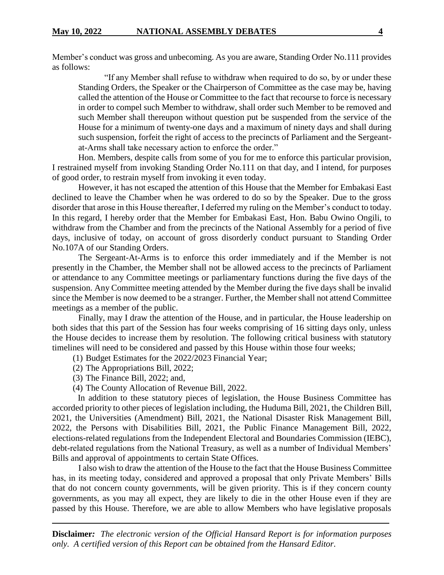Member's conduct was gross and unbecoming. As you are aware, Standing Order No.111 provides as follows:

"If any Member shall refuse to withdraw when required to do so, by or under these Standing Orders, the Speaker or the Chairperson of Committee as the case may be, having called the attention of the House or Committee to the fact that recourse to force is necessary in order to compel such Member to withdraw, shall order such Member to be removed and such Member shall thereupon without question put be suspended from the service of the House for a minimum of twenty-one days and a maximum of ninety days and shall during such suspension, forfeit the right of access to the precincts of Parliament and the Sergeantat-Arms shall take necessary action to enforce the order."

Hon. Members, despite calls from some of you for me to enforce this particular provision, I restrained myself from invoking Standing Order No.111 on that day, and I intend, for purposes of good order, to restrain myself from invoking it even today.

However, it has not escaped the attention of this House that the Member for Embakasi East declined to leave the Chamber when he was ordered to do so by the Speaker. Due to the gross disorder that arose in this House thereafter, I deferred my ruling on the Member's conduct to today. In this regard, I hereby order that the Member for Embakasi East, Hon. Babu Owino Ongili, to withdraw from the Chamber and from the precincts of the National Assembly for a period of five days, inclusive of today, on account of gross disorderly conduct pursuant to Standing Order No.107A of our Standing Orders.

The Sergeant-At-Arms is to enforce this order immediately and if the Member is not presently in the Chamber, the Member shall not be allowed access to the precincts of Parliament or attendance to any Committee meetings or parliamentary functions during the five days of the suspension. Any Committee meeting attended by the Member during the five days shall be invalid since the Member is now deemed to be a stranger. Further, the Member shall not attend Committee meetings as a member of the public.

Finally, may I draw the attention of the House, and in particular, the House leadership on both sides that this part of the Session has four weeks comprising of 16 sitting days only, unless the House decides to increase them by resolution. The following critical business with statutory timelines will need to be considered and passed by this House within those four weeks;

- (1) Budget Estimates for the 2022/2023 Financial Year;
- (2) The Appropriations Bill, 2022;
- (3) The Finance Bill, 2022; and,
- (4) The County Allocation of Revenue Bill, 2022.

In addition to these statutory pieces of legislation, the House Business Committee has accorded priority to other pieces of legislation including, the Huduma Bill, 2021, the Children Bill, 2021, the Universities (Amendment) Bill, 2021, the National Disaster Risk Management Bill, 2022, the Persons with Disabilities Bill, 2021, the Public Finance Management Bill, 2022, elections-related regulations from the Independent Electoral and Boundaries Commission (IEBC), debt-related regulations from the National Treasury, as well as a number of Individual Members' Bills and approval of appointments to certain State Offices.

I also wish to draw the attention of the House to the fact that the House Business Committee has, in its meeting today, considered and approved a proposal that only Private Members' Bills that do not concern county governments, will be given priority. This is if they concern county governments, as you may all expect, they are likely to die in the other House even if they are passed by this House. Therefore, we are able to allow Members who have legislative proposals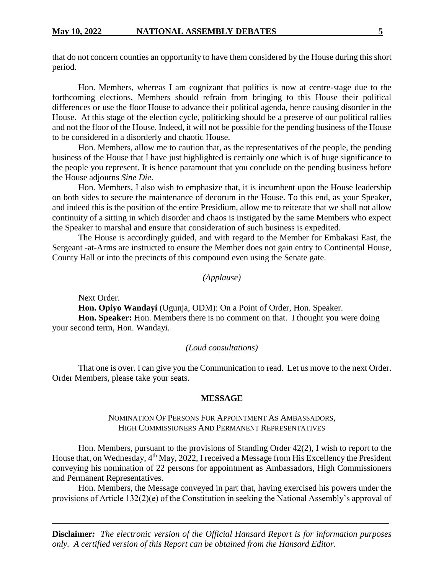## **May 10, 2022 NATIONAL ASSEMBLY DEBATES 5**

that do not concern counties an opportunity to have them considered by the House during this short period.

Hon. Members, whereas I am cognizant that politics is now at centre-stage due to the forthcoming elections, Members should refrain from bringing to this House their political differences or use the floor House to advance their political agenda, hence causing disorder in the House. At this stage of the election cycle, politicking should be a preserve of our political rallies and not the floor of the House. Indeed, it will not be possible for the pending business of the House to be considered in a disorderly and chaotic House.

Hon. Members, allow me to caution that, as the representatives of the people, the pending business of the House that I have just highlighted is certainly one which is of huge significance to the people you represent. It is hence paramount that you conclude on the pending business before the House adjourns *Sine Die*.

Hon. Members, I also wish to emphasize that, it is incumbent upon the House leadership on both sides to secure the maintenance of decorum in the House. To this end, as your Speaker, and indeed this is the position of the entire Presidium, allow me to reiterate that we shall not allow continuity of a sitting in which disorder and chaos is instigated by the same Members who expect the Speaker to marshal and ensure that consideration of such business is expedited.

The House is accordingly guided, and with regard to the Member for Embakasi East, the Sergeant -at-Arms are instructed to ensure the Member does not gain entry to Continental House, County Hall or into the precincts of this compound even using the Senate gate.

## *(Applause)*

Next Order.

**Hon. Opiyo Wandayi** (Ugunja, ODM): On a Point of Order, Hon. Speaker.

**Hon. Speaker:** Hon. Members there is no comment on that. I thought you were doing your second term, Hon. Wandayi.

#### *(Loud consultations)*

That one is over. I can give you the Communication to read. Let us move to the next Order. Order Members, please take your seats.

#### **MESSAGE**

### NOMINATION OF PERSONS FOR APPOINTMENT AS AMBASSADORS, HIGH COMMISSIONERS AND PERMANENT REPRESENTATIVES

Hon. Members, pursuant to the provisions of Standing Order 42(2), I wish to report to the House that, on Wednesday, 4<sup>th</sup> May, 2022, I received a Message from His Excellency the President conveying his nomination of 22 persons for appointment as Ambassadors, High Commissioners and Permanent Representatives.

Hon. Members, the Message conveyed in part that, having exercised his powers under the provisions of Article 132(2)(e) of the Constitution in seeking the National Assembly's approval of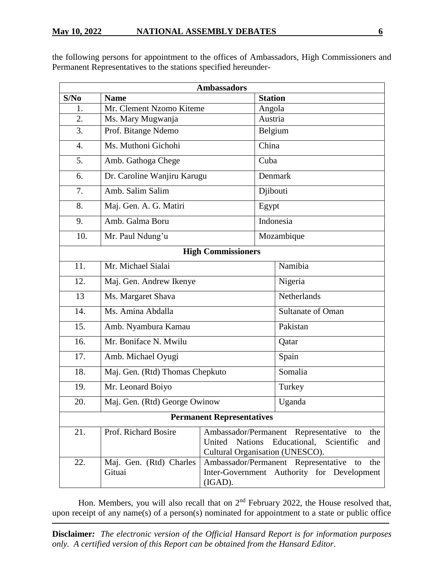**Ambassadors S/No Name** Station 1. Mr. Clement Nzomo Kiteme Angola 2. Ms. Mary Mugwanja **Austria** 3. Prof. Bitange Ndemo Belgium 4. Ms. Muthoni Gichohi China 5. Amb. Gathoga Chege Cuba 6. **Dr. Caroline Wanjiru Karugu** Denmark 7. Amb. Salim Salim Djibouti 8. | Maj. Gen. A. G. Matiri | Egypt 9. Amb. Galma Boru Indonesia 10. | Mr. Paul Ndung'u | Mozambique **High Commissioners**

the following persons for appointment to the offices of Ambassadors, High Commissioners and Permanent Representatives to the stations specified hereunder-

| У.                               | Amb. Galma Boru                   |                                                                                                                                      | mdonesia          |
|----------------------------------|-----------------------------------|--------------------------------------------------------------------------------------------------------------------------------------|-------------------|
| 10.                              | Mr. Paul Ndung'u                  |                                                                                                                                      | Mozambique        |
| <b>High Commissioners</b>        |                                   |                                                                                                                                      |                   |
| 11.                              | Mr. Michael Sialai                |                                                                                                                                      | Namibia           |
| 12.                              | Maj. Gen. Andrew Ikenye           |                                                                                                                                      | Nigeria           |
| 13                               | Ms. Margaret Shava                |                                                                                                                                      | Netherlands       |
| 14.                              | Ms. Amina Abdalla                 |                                                                                                                                      | Sultanate of Oman |
| 15.                              | Amb. Nyambura Kamau               |                                                                                                                                      | Pakistan          |
| 16.                              | Mr. Boniface N. Mwilu             |                                                                                                                                      | Qatar             |
| 17.                              | Amb. Michael Oyugi                |                                                                                                                                      | Spain             |
| 18.                              | Maj. Gen. (Rtd) Thomas Chepkuto   |                                                                                                                                      | Somalia           |
| 19.                              | Mr. Leonard Boiyo                 |                                                                                                                                      | Turkey            |
| 20.                              | Maj. Gen. (Rtd) George Owinow     |                                                                                                                                      | Uganda            |
| <b>Permanent Representatives</b> |                                   |                                                                                                                                      |                   |
| 21.                              | Prof. Richard Bosire              | Ambassador/Permanent Representative to<br>the<br>Nations Educational, Scientific<br>United<br>and<br>Cultural Organisation (UNESCO). |                   |
| 22.                              | Maj. Gen. (Rtd) Charles<br>Gituai | Ambassador/Permanent Representative<br>the<br>to<br>Inter-Government Authority for Development<br>(IGAD).                            |                   |

Hon. Members, you will also recall that on  $2<sup>nd</sup>$  February 2022, the House resolved that, upon receipt of any name(s) of a person(s) nominated for appointment to a state or public office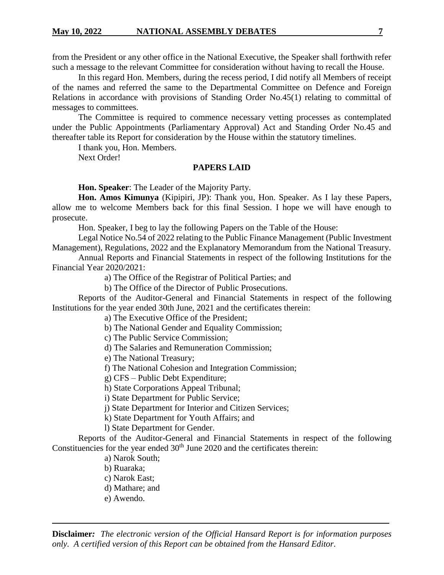from the President or any other office in the National Executive, the Speaker shall forthwith refer such a message to the relevant Committee for consideration without having to recall the House.

In this regard Hon. Members, during the recess period, I did notify all Members of receipt of the names and referred the same to the Departmental Committee on Defence and Foreign Relations in accordance with provisions of Standing Order No.45(1) relating to committal of messages to committees.

The Committee is required to commence necessary vetting processes as contemplated under the Public Appointments (Parliamentary Approval) Act and Standing Order No.45 and thereafter table its Report for consideration by the House within the statutory timelines.

I thank you, Hon. Members. Next Order!

#### **PAPERS LAID**

**Hon. Speaker**: The Leader of the Majority Party.

**Hon. Amos Kimunya** (Kipipiri, JP): Thank you, Hon. Speaker. As I lay these Papers, allow me to welcome Members back for this final Session. I hope we will have enough to prosecute.

Hon. Speaker, I beg to lay the following Papers on the Table of the House:

Legal Notice No.54 of 2022 relating to the Public Finance Management (Public Investment Management), Regulations, 2022 and the Explanatory Memorandum from the National Treasury.

Annual Reports and Financial Statements in respect of the following Institutions for the Financial Year 2020/2021:

a) The Office of the Registrar of Political Parties; and

b) The Office of the Director of Public Prosecutions.

Reports of the Auditor-General and Financial Statements in respect of the following Institutions for the year ended 30th June, 2021 and the certificates therein:

a) The Executive Office of the President;

b) The National Gender and Equality Commission;

c) The Public Service Commission;

d) The Salaries and Remuneration Commission;

e) The National Treasury;

f) The National Cohesion and Integration Commission;

g) CFS – Public Debt Expenditure;

h) State Corporations Appeal Tribunal;

i) State Department for Public Service;

j) State Department for Interior and Citizen Services;

k) State Department for Youth Affairs; and

l) State Department for Gender.

Reports of the Auditor-General and Financial Statements in respect of the following Constituencies for the year ended  $30<sup>th</sup>$  June 2020 and the certificates therein:

a) Narok South;

b) Ruaraka;

c) Narok East;

d) Mathare; and

e) Awendo.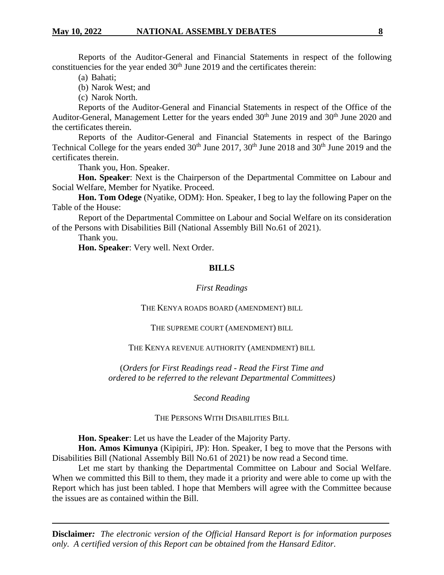Reports of the Auditor-General and Financial Statements in respect of the following constituencies for the year ended  $30<sup>th</sup>$  June 2019 and the certificates therein:

(a) Bahati;

(b) Narok West; and

(c) Narok North.

Reports of the Auditor-General and Financial Statements in respect of the Office of the Auditor-General, Management Letter for the years ended  $30<sup>th</sup>$  June  $2019$  and  $30<sup>th</sup>$  June 2020 and the certificates therein.

Reports of the Auditor-General and Financial Statements in respect of the Baringo Technical College for the years ended 30<sup>th</sup> June 2017, 30<sup>th</sup> June 2018 and 30<sup>th</sup> June 2019 and the certificates therein.

Thank you, Hon. Speaker.

**Hon. Speaker**: Next is the Chairperson of the Departmental Committee on Labour and Social Welfare, Member for Nyatike. Proceed.

**Hon. Tom Odege** (Nyatike, ODM): Hon. Speaker, I beg to lay the following Paper on the Table of the House:

Report of the Departmental Committee on Labour and Social Welfare on its consideration of the Persons with Disabilities Bill (National Assembly Bill No.61 of 2021).

Thank you.

**Hon. Speaker**: Very well. Next Order.

### **BILLS**

#### *First Readings*

THE KENYA ROADS BOARD (AMENDMENT) BILL

## THE SUPREME COURT (AMENDMENT) BILL

## THE KENYA REVENUE AUTHORITY (AMENDMENT) BILL

(*Orders for First Readings read - Read the First Time and ordered to be referred to the relevant Departmental Committees)*

*Second Reading*

#### THE PERSONS WITH DISABILITIES BILL

**Hon. Speaker**: Let us have the Leader of the Majority Party.

**Hon. Amos Kimunya** (Kipipiri, JP): Hon. Speaker, I beg to move that the Persons with Disabilities Bill (National Assembly Bill No.61 of 2021) be now read a Second time.

Let me start by thanking the Departmental Committee on Labour and Social Welfare. When we committed this Bill to them, they made it a priority and were able to come up with the Report which has just been tabled. I hope that Members will agree with the Committee because the issues are as contained within the Bill.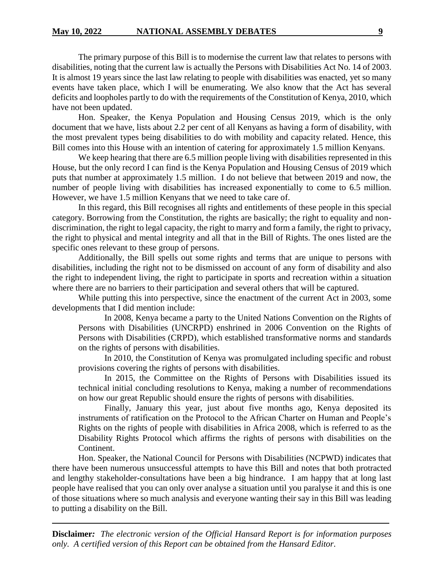The primary purpose of this Bill is to modernise the current law that relates to persons with disabilities, noting that the current law is actually the Persons with Disabilities Act No. 14 of 2003. It is almost 19 years since the last law relating to people with disabilities was enacted, yet so many events have taken place, which I will be enumerating. We also know that the Act has several deficits and loopholes partly to do with the requirements of the Constitution of Kenya, 2010, which have not been updated.

Hon. Speaker, the Kenya Population and Housing Census 2019, which is the only document that we have, lists about 2.2 per cent of all Kenyans as having a form of disability, with the most prevalent types being disabilities to do with mobility and capacity related. Hence, this Bill comes into this House with an intention of catering for approximately 1.5 million Kenyans.

We keep hearing that there are 6.5 million people living with disabilities represented in this House, but the only record I can find is the Kenya Population and Housing Census of 2019 which puts that number at approximately 1.5 million. I do not believe that between 2019 and now, the number of people living with disabilities has increased exponentially to come to 6.5 million. However, we have 1.5 million Kenyans that we need to take care of.

In this regard, this Bill recognises all rights and entitlements of these people in this special category. Borrowing from the Constitution, the rights are basically; the right to equality and nondiscrimination, the right to legal capacity, the right to marry and form a family, the right to privacy, the right to physical and mental integrity and all that in the Bill of Rights. The ones listed are the specific ones relevant to these group of persons.

Additionally, the Bill spells out some rights and terms that are unique to persons with disabilities, including the right not to be dismissed on account of any form of disability and also the right to independent living, the right to participate in sports and recreation within a situation where there are no barriers to their participation and several others that will be captured.

While putting this into perspective, since the enactment of the current Act in 2003, some developments that I did mention include:

In 2008, Kenya became a party to the United Nations Convention on the Rights of Persons with Disabilities (UNCRPD) enshrined in 2006 Convention on the Rights of Persons with Disabilities (CRPD), which established transformative norms and standards on the rights of persons with disabilities.

In 2010, the Constitution of Kenya was promulgated including specific and robust provisions covering the rights of persons with disabilities.

In 2015, the Committee on the Rights of Persons with Disabilities issued its technical initial concluding resolutions to Kenya, making a number of recommendations on how our great Republic should ensure the rights of persons with disabilities.

Finally, January this year, just about five months ago, Kenya deposited its instruments of ratification on the Protocol to the African Charter on Human and People's Rights on the rights of people with disabilities in Africa 2008, which is referred to as the Disability Rights Protocol which affirms the rights of persons with disabilities on the Continent.

Hon. Speaker, the National Council for Persons with Disabilities (NCPWD) indicates that there have been numerous unsuccessful attempts to have this Bill and notes that both protracted and lengthy stakeholder-consultations have been a big hindrance. I am happy that at long last people have realised that you can only over analyse a situation until you paralyse it and this is one of those situations where so much analysis and everyone wanting their say in this Bill was leading to putting a disability on the Bill.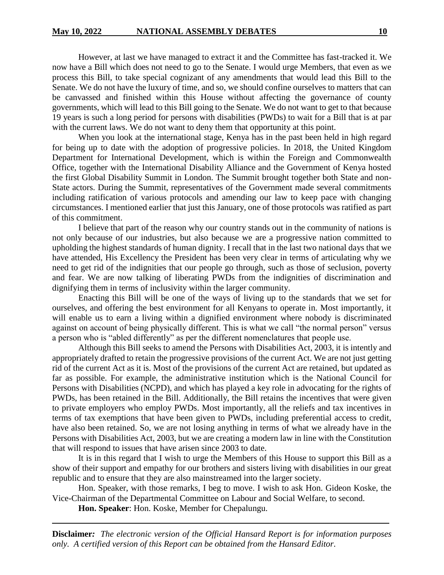However, at last we have managed to extract it and the Committee has fast-tracked it. We now have a Bill which does not need to go to the Senate. I would urge Members, that even as we process this Bill, to take special cognizant of any amendments that would lead this Bill to the Senate. We do not have the luxury of time, and so, we should confine ourselves to matters that can be canvassed and finished within this House without affecting the governance of county governments, which will lead to this Bill going to the Senate. We do not want to get to that because 19 years is such a long period for persons with disabilities (PWDs) to wait for a Bill that is at par with the current laws. We do not want to deny them that opportunity at this point.

When you look at the international stage, Kenya has in the past been held in high regard for being up to date with the adoption of progressive policies. In 2018, the United Kingdom Department for International Development, which is within the Foreign and Commonwealth Office, together with the International Disability Alliance and the Government of Kenya hosted the first Global Disability Summit in London. The Summit brought together both State and non-State actors. During the Summit, representatives of the Government made several commitments including ratification of various protocols and amending our law to keep pace with changing circumstances. I mentioned earlier that just this January, one of those protocols was ratified as part of this commitment.

I believe that part of the reason why our country stands out in the community of nations is not only because of our industries, but also because we are a progressive nation committed to upholding the highest standards of human dignity. I recall that in the last two national days that we have attended, His Excellency the President has been very clear in terms of articulating why we need to get rid of the indignities that our people go through, such as those of seclusion, poverty and fear. We are now talking of liberating PWDs from the indignities of discrimination and dignifying them in terms of inclusivity within the larger community.

Enacting this Bill will be one of the ways of living up to the standards that we set for ourselves, and offering the best environment for all Kenyans to operate in. Most importantly, it will enable us to earn a living within a dignified environment where nobody is discriminated against on account of being physically different. This is what we call "the normal person" versus a person who is "abled differently" as per the different nomenclatures that people use.

Although this Bill seeks to amend the Persons with Disabilities Act, 2003, it is intently and appropriately drafted to retain the progressive provisions of the current Act. We are not just getting rid of the current Act as it is. Most of the provisions of the current Act are retained, but updated as far as possible. For example, the administrative institution which is the National Council for Persons with Disabilities (NCPD), and which has played a key role in advocating for the rights of PWDs, has been retained in the Bill. Additionally, the Bill retains the incentives that were given to private employers who employ PWDs. Most importantly, all the reliefs and tax incentives in terms of tax exemptions that have been given to PWDs, including preferential access to credit, have also been retained. So, we are not losing anything in terms of what we already have in the Persons with Disabilities Act, 2003, but we are creating a modern law in line with the Constitution that will respond to issues that have arisen since 2003 to date.

It is in this regard that I wish to urge the Members of this House to support this Bill as a show of their support and empathy for our brothers and sisters living with disabilities in our great republic and to ensure that they are also mainstreamed into the larger society.

Hon. Speaker, with those remarks, I beg to move. I wish to ask Hon. Gideon Koske, the Vice-Chairman of the Departmental Committee on Labour and Social Welfare, to second.

**Hon. Speaker**: Hon. Koske, Member for Chepalungu.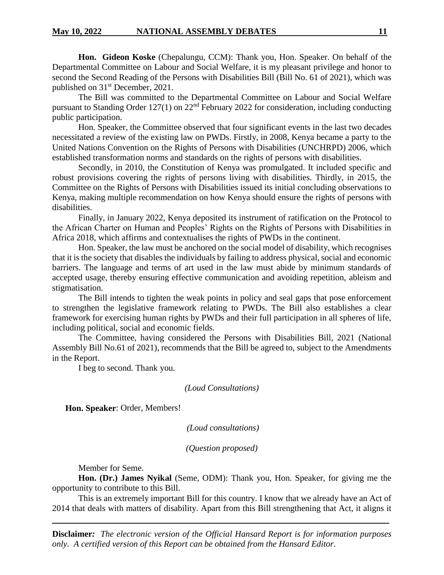**Hon. Gideon Koske** (Chepalungu, CCM): Thank you, Hon. Speaker. On behalf of the Departmental Committee on Labour and Social Welfare, it is my pleasant privilege and honor to second the Second Reading of the Persons with Disabilities Bill (Bill No. 61 of 2021), which was published on 31st December, 2021.

The Bill was committed to the Departmental Committee on Labour and Social Welfare pursuant to Standing Order 127(1) on 22nd February 2022 for consideration, including conducting public participation.

Hon. Speaker, the Committee observed that four significant events in the last two decades necessitated a review of the existing law on PWDs. Firstly, in 2008, Kenya became a party to the United Nations Convention on the Rights of Persons with Disabilities (UNCHRPD) 2006, which established transformation norms and standards on the rights of persons with disabilities.

Secondly, in 2010, the Constitution of Kenya was promulgated. It included specific and robust provisions covering the rights of persons living with disabilities. Thirdly, in 2015, the Committee on the Rights of Persons with Disabilities issued its initial concluding observations to Kenya, making multiple recommendation on how Kenya should ensure the rights of persons with disabilities.

Finally, in January 2022, Kenya deposited its instrument of ratification on the Protocol to the African Charter on Human and Peoples' Rights on the Rights of Persons with Disabilities in Africa 2018, which affirms and contextualises the rights of PWDs in the continent.

Hon. Speaker, the law must be anchored on the social model of disability, which recognises that it is the society that disables the individuals by failing to address physical, social and economic barriers. The language and terms of art used in the law must abide by minimum standards of accepted usage, thereby ensuring effective communication and avoiding repetition, ableism and stigmatisation.

The Bill intends to tighten the weak points in policy and seal gaps that pose enforcement to strengthen the legislative framework relating to PWDs. The Bill also establishes a clear framework for exercising human rights by PWDs and their full participation in all spheres of life, including political, social and economic fields.

The Committee, having considered the Persons with Disabilities Bill, 2021 (National Assembly Bill No.61 of 2021), recommends that the Bill be agreed to, subject to the Amendments in the Report.

I beg to second. Thank you.

## *(Loud Consultations)*

**Hon. Speaker**: Order, Members!

*(Loud consultations)*

*(Question proposed)*

Member for Seme.

**Hon. (Dr.) James Nyikal** (Seme, ODM): Thank you, Hon. Speaker, for giving me the opportunity to contribute to this Bill.

This is an extremely important Bill for this country. I know that we already have an Act of 2014 that deals with matters of disability. Apart from this Bill strengthening that Act, it aligns it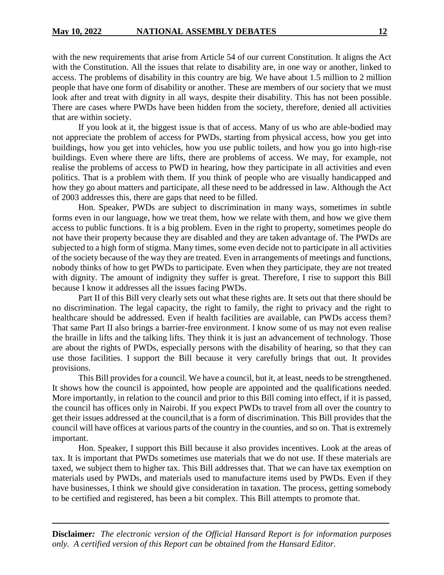with the new requirements that arise from Article 54 of our current Constitution. It aligns the Act with the Constitution. All the issues that relate to disability are, in one way or another, linked to access. The problems of disability in this country are big. We have about 1.5 million to 2 million people that have one form of disability or another. These are members of our society that we must look after and treat with dignity in all ways, despite their disability. This has not been possible. There are cases where PWDs have been hidden from the society, therefore, denied all activities that are within society.

If you look at it, the biggest issue is that of access. Many of us who are able-bodied may not appreciate the problem of access for PWDs, starting from physical access, how you get into buildings, how you get into vehicles, how you use public toilets, and how you go into high-rise buildings. Even where there are lifts, there are problems of access. We may, for example, not realise the problems of access to PWD in hearing, how they participate in all activities and even politics. That is a problem with them. If you think of people who are visually handicapped and how they go about matters and participate, all these need to be addressed in law. Although the Act of 2003 addresses this, there are gaps that need to be filled.

Hon. Speaker, PWDs are subject to discrimination in many ways, sometimes in subtle forms even in our language, how we treat them, how we relate with them, and how we give them access to public functions. It is a big problem. Even in the right to property, sometimes people do not have their property because they are disabled and they are taken advantage of. The PWDs are subjected to a high form of stigma. Many times, some even decide not to participate in all activities of the society because of the way they are treated. Even in arrangements of meetings and functions, nobody thinks of how to get PWDs to participate. Even when they participate, they are not treated with dignity. The amount of indignity they suffer is great. Therefore, I rise to support this Bill because I know it addresses all the issues facing PWDs.

Part II of this Bill very clearly sets out what these rights are. It sets out that there should be no discrimination. The legal capacity, the right to family, the right to privacy and the right to healthcare should be addressed. Even if health facilities are available, can PWDs access them? That same Part II also brings a barrier-free environment. I know some of us may not even realise the braille in lifts and the talking lifts. They think it is just an advancement of technology. Those are about the rights of PWDs, especially persons with the disability of hearing, so that they can use those facilities. I support the Bill because it very carefully brings that out. It provides provisions.

This Bill provides for a council. We have a council, but it, at least, needs to be strengthened. It shows how the council is appointed, how people are appointed and the qualifications needed. More importantly, in relation to the council and prior to this Bill coming into effect, if it is passed, the council has offices only in Nairobi. If you expect PWDs to travel from all over the country to get their issues addressed at the council,that is a form of discrimination. This Bill provides that the council will have offices at various parts of the country in the counties, and so on. That is extremely important.

Hon. Speaker, I support this Bill because it also provides incentives. Look at the areas of tax. It is important that PWDs sometimes use materials that we do not use. If these materials are taxed, we subject them to higher tax. This Bill addresses that. That we can have tax exemption on materials used by PWDs, and materials used to manufacture items used by PWDs. Even if they have businesses, I think we should give consideration in taxation. The process, getting somebody to be certified and registered, has been a bit complex. This Bill attempts to promote that.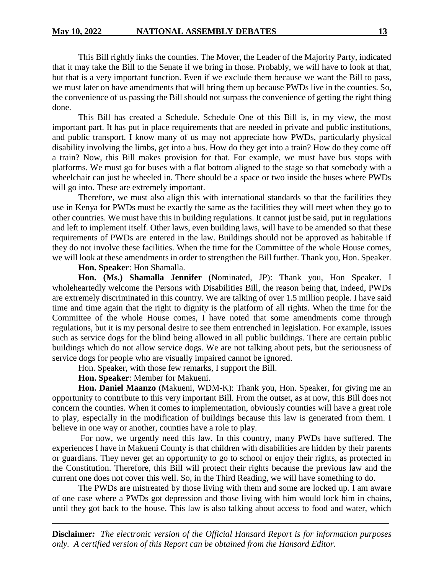This Bill rightly links the counties. The Mover, the Leader of the Majority Party, indicated that it may take the Bill to the Senate if we bring in those. Probably, we will have to look at that, but that is a very important function. Even if we exclude them because we want the Bill to pass, we must later on have amendments that will bring them up because PWDs live in the counties. So, the convenience of us passing the Bill should not surpass the convenience of getting the right thing done.

This Bill has created a Schedule. Schedule One of this Bill is, in my view, the most important part. It has put in place requirements that are needed in private and public institutions, and public transport. I know many of us may not appreciate how PWDs, particularly physical disability involving the limbs, get into a bus. How do they get into a train? How do they come off a train? Now, this Bill makes provision for that. For example, we must have bus stops with platforms. We must go for buses with a flat bottom aligned to the stage so that somebody with a wheelchair can just be wheeled in. There should be a space or two inside the buses where PWDs will go into. These are extremely important.

Therefore, we must also align this with international standards so that the facilities they use in Kenya for PWDs must be exactly the same as the facilities they will meet when they go to other countries. We must have this in building regulations. It cannot just be said, put in regulations and left to implement itself. Other laws, even building laws, will have to be amended so that these requirements of PWDs are entered in the law. Buildings should not be approved as habitable if they do not involve these facilities. When the time for the Committee of the whole House comes, we will look at these amendments in order to strengthen the Bill further. Thank you, Hon. Speaker.

## **Hon. Speaker**: Hon Shamalla.

**Hon. (Ms.) Shamalla Jennifer** (Nominated, JP): Thank you, Hon Speaker. I wholeheartedly welcome the Persons with Disabilities Bill, the reason being that, indeed, PWDs are extremely discriminated in this country. We are talking of over 1.5 million people. I have said time and time again that the right to dignity is the platform of all rights. When the time for the Committee of the whole House comes, I have noted that some amendments come through regulations, but it is my personal desire to see them entrenched in legislation. For example, issues such as service dogs for the blind being allowed in all public buildings. There are certain public buildings which do not allow service dogs. We are not talking about pets, but the seriousness of service dogs for people who are visually impaired cannot be ignored.

Hon. Speaker, with those few remarks, I support the Bill.

**Hon. Speaker**: Member for Makueni.

**Hon. Daniel Maanzo** (Makueni, WDM-K): Thank you, Hon. Speaker, for giving me an opportunity to contribute to this very important Bill. From the outset, as at now, this Bill does not concern the counties. When it comes to implementation, obviously counties will have a great role to play, especially in the modification of buildings because this law is generated from them. I believe in one way or another, counties have a role to play.

For now, we urgently need this law. In this country, many PWDs have suffered. The experiences I have in Makueni County is that children with disabilities are hidden by their parents or guardians. They never get an opportunity to go to school or enjoy their rights, as protected in the Constitution. Therefore, this Bill will protect their rights because the previous law and the current one does not cover this well. So, in the Third Reading, we will have something to do.

The PWDs are mistreated by those living with them and some are locked up. I am aware of one case where a PWDs got depression and those living with him would lock him in chains, until they got back to the house. This law is also talking about access to food and water, which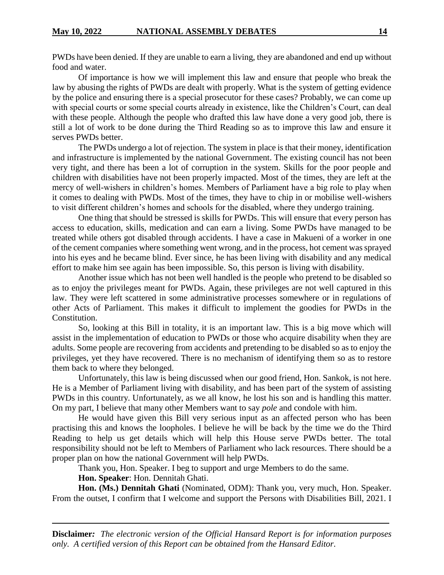PWDs have been denied. If they are unable to earn a living, they are abandoned and end up without food and water.

Of importance is how we will implement this law and ensure that people who break the law by abusing the rights of PWDs are dealt with properly. What is the system of getting evidence by the police and ensuring there is a special prosecutor for these cases? Probably, we can come up with special courts or some special courts already in existence, like the Children's Court, can deal with these people. Although the people who drafted this law have done a very good job, there is still a lot of work to be done during the Third Reading so as to improve this law and ensure it serves PWDs better.

The PWDs undergo a lot of rejection. The system in place is that their money, identification and infrastructure is implemented by the national Government. The existing council has not been very tight, and there has been a lot of corruption in the system. Skills for the poor people and children with disabilities have not been properly impacted. Most of the times, they are left at the mercy of well-wishers in children's homes. Members of Parliament have a big role to play when it comes to dealing with PWDs. Most of the times, they have to chip in or mobilise well-wishers to visit different children's homes and schools for the disabled, where they undergo training.

One thing that should be stressed is skills for PWDs. This will ensure that every person has access to education, skills, medication and can earn a living. Some PWDs have managed to be treated while others got disabled through accidents. I have a case in Makueni of a worker in one of the cement companies where something went wrong, and in the process, hot cement was sprayed into his eyes and he became blind. Ever since, he has been living with disability and any medical effort to make him see again has been impossible. So, this person is living with disability.

Another issue which has not been well handled is the people who pretend to be disabled so as to enjoy the privileges meant for PWDs. Again, these privileges are not well captured in this law. They were left scattered in some administrative processes somewhere or in regulations of other Acts of Parliament. This makes it difficult to implement the goodies for PWDs in the Constitution.

So, looking at this Bill in totality, it is an important law. This is a big move which will assist in the implementation of education to PWDs or those who acquire disability when they are adults. Some people are recovering from accidents and pretending to be disabled so as to enjoy the privileges, yet they have recovered. There is no mechanism of identifying them so as to restore them back to where they belonged.

Unfortunately, this law is being discussed when our good friend, Hon. Sankok, is not here. He is a Member of Parliament living with disability, and has been part of the system of assisting PWDs in this country. Unfortunately, as we all know, he lost his son and is handling this matter. On my part, I believe that many other Members want to say *pole* and condole with him.

He would have given this Bill very serious input as an affected person who has been practising this and knows the loopholes. I believe he will be back by the time we do the Third Reading to help us get details which will help this House serve PWDs better. The total responsibility should not be left to Members of Parliament who lack resources. There should be a proper plan on how the national Government will help PWDs.

Thank you, Hon. Speaker. I beg to support and urge Members to do the same.

**Hon. Speaker**: Hon. Dennitah Ghati.

**Hon. (Ms.) Dennitah Ghati** (Nominated, ODM): Thank you, very much, Hon. Speaker. From the outset, I confirm that I welcome and support the Persons with Disabilities Bill, 2021. I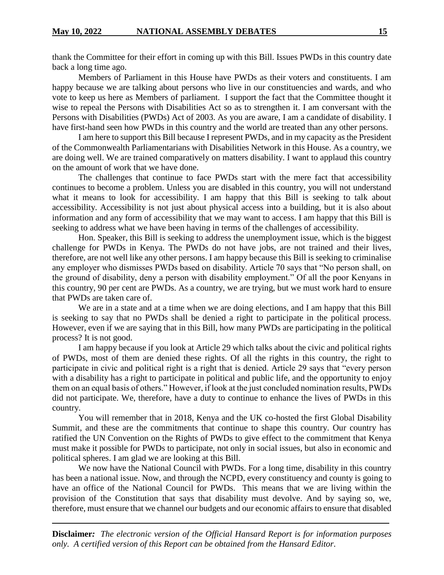thank the Committee for their effort in coming up with this Bill. Issues PWDs in this country date back a long time ago.

Members of Parliament in this House have PWDs as their voters and constituents. I am happy because we are talking about persons who live in our constituencies and wards, and who vote to keep us here as Members of parliament. I support the fact that the Committee thought it wise to repeal the Persons with Disabilities Act so as to strengthen it. I am conversant with the Persons with Disabilities (PWDs) Act of 2003. As you are aware, I am a candidate of disability. I have first-hand seen how PWDs in this country and the world are treated than any other persons.

I am here to support this Bill because I represent PWDs, and in my capacity as the President of the Commonwealth Parliamentarians with Disabilities Network in this House. As a country, we are doing well. We are trained comparatively on matters disability. I want to applaud this country on the amount of work that we have done.

The challenges that continue to face PWDs start with the mere fact that accessibility continues to become a problem. Unless you are disabled in this country, you will not understand what it means to look for accessibility. I am happy that this Bill is seeking to talk about accessibility. Accessibility is not just about physical access into a building, but it is also about information and any form of accessibility that we may want to access. I am happy that this Bill is seeking to address what we have been having in terms of the challenges of accessibility.

Hon. Speaker, this Bill is seeking to address the unemployment issue, which is the biggest challenge for PWDs in Kenya. The PWDs do not have jobs, are not trained and their lives, therefore, are not well like any other persons. I am happy because this Bill is seeking to criminalise any employer who dismisses PWDs based on disability. Article 70 says that "No person shall, on the ground of disability, deny a person with disability employment." Of all the poor Kenyans in this country, 90 per cent are PWDs. As a country, we are trying, but we must work hard to ensure that PWDs are taken care of.

We are in a state and at a time when we are doing elections, and I am happy that this Bill is seeking to say that no PWDs shall be denied a right to participate in the political process. However, even if we are saying that in this Bill, how many PWDs are participating in the political process? It is not good.

I am happy because if you look at Article 29 which talks about the civic and political rights of PWDs, most of them are denied these rights. Of all the rights in this country, the right to participate in civic and political right is a right that is denied. Article 29 says that "every person with a disability has a right to participate in political and public life, and the opportunity to enjoy them on an equal basis of others." However, if look at the just concluded nomination results, PWDs did not participate. We, therefore, have a duty to continue to enhance the lives of PWDs in this country.

You will remember that in 2018, Kenya and the UK co-hosted the first Global Disability Summit, and these are the commitments that continue to shape this country. Our country has ratified the UN Convention on the Rights of PWDs to give effect to the commitment that Kenya must make it possible for PWDs to participate, not only in social issues, but also in economic and political spheres. I am glad we are looking at this Bill.

We now have the National Council with PWDs. For a long time, disability in this country has been a national issue. Now, and through the NCPD, every constituency and county is going to have an office of the National Council for PWDs. This means that we are living within the provision of the Constitution that says that disability must devolve. And by saying so, we, therefore, must ensure that we channel our budgets and our economic affairs to ensure that disabled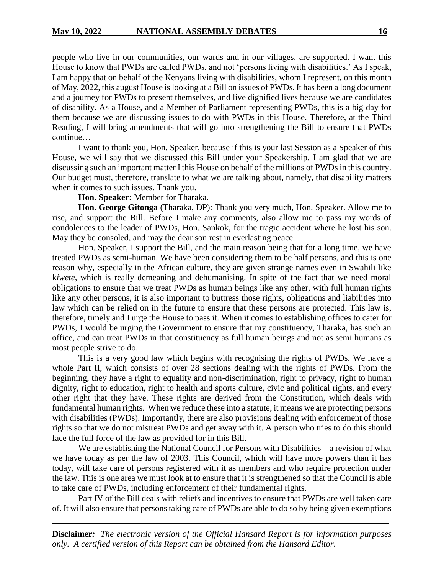people who live in our communities, our wards and in our villages, are supported. I want this House to know that PWDs are called PWDs, and not 'persons living with disabilities.' As I speak, I am happy that on behalf of the Kenyans living with disabilities, whom I represent, on this month of May, 2022, this august House is looking at a Bill on issues of PWDs. It has been a long document and a journey for PWDs to present themselves, and live dignified lives because we are candidates of disability. As a House, and a Member of Parliament representing PWDs, this is a big day for them because we are discussing issues to do with PWDs in this House. Therefore, at the Third Reading, I will bring amendments that will go into strengthening the Bill to ensure that PWDs continue…

I want to thank you, Hon. Speaker, because if this is your last Session as a Speaker of this House, we will say that we discussed this Bill under your Speakership. I am glad that we are discussing such an important matter I this House on behalf of the millions of PWDs in this country. Our budget must, therefore, translate to what we are talking about, namely, that disability matters when it comes to such issues. Thank you.

**Hon. Speaker:** Member for Tharaka.

**Hon. George Gitonga** (Tharaka, DP): Thank you very much, Hon. Speaker. Allow me to rise, and support the Bill. Before I make any comments, also allow me to pass my words of condolences to the leader of PWDs, Hon. Sankok, for the tragic accident where he lost his son. May they be consoled, and may the dear son rest in everlasting peace.

Hon. Speaker, I support the Bill, and the main reason being that for a long time, we have treated PWDs as semi-human. We have been considering them to be half persons, and this is one reason why, especially in the African culture, they are given strange names even in Swahili like k*iwete,* which is really demeaning and dehumanising. In spite of the fact that we need moral obligations to ensure that we treat PWDs as human beings like any other, with full human rights like any other persons, it is also important to buttress those rights, obligations and liabilities into law which can be relied on in the future to ensure that these persons are protected. This law is, therefore, timely and I urge the House to pass it. When it comes to establishing offices to cater for PWDs, I would be urging the Government to ensure that my constituency, Tharaka, has such an office, and can treat PWDs in that constituency as full human beings and not as semi humans as most people strive to do.

This is a very good law which begins with recognising the rights of PWDs. We have a whole Part II, which consists of over 28 sections dealing with the rights of PWDs. From the beginning, they have a right to equality and non-discrimination, right to privacy, right to human dignity, right to education, right to health and sports culture, civic and political rights, and every other right that they have. These rights are derived from the Constitution, which deals with fundamental human rights. When we reduce these into a statute, it means we are protecting persons with disabilities (PWDs). Importantly, there are also provisions dealing with enforcement of those rights so that we do not mistreat PWDs and get away with it. A person who tries to do this should face the full force of the law as provided for in this Bill.

We are establishing the National Council for Persons with Disabilities – a revision of what we have today as per the law of 2003. This Council, which will have more powers than it has today, will take care of persons registered with it as members and who require protection under the law. This is one area we must look at to ensure that it is strengthened so that the Council is able to take care of PWDs, including enforcement of their fundamental rights.

Part IV of the Bill deals with reliefs and incentives to ensure that PWDs are well taken care of. It will also ensure that persons taking care of PWDs are able to do so by being given exemptions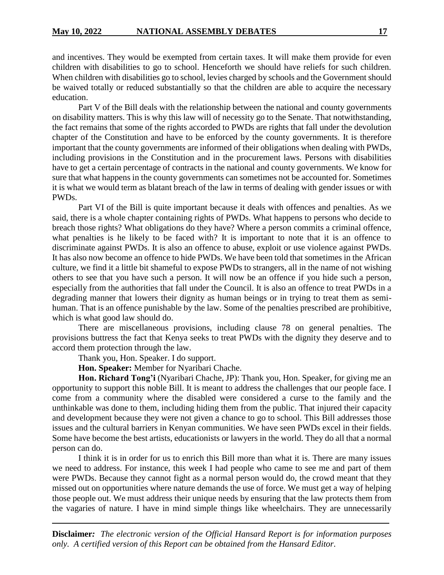and incentives. They would be exempted from certain taxes. It will make them provide for even children with disabilities to go to school. Henceforth we should have reliefs for such children. When children with disabilities go to school, levies charged by schools and the Government should be waived totally or reduced substantially so that the children are able to acquire the necessary education.

Part V of the Bill deals with the relationship between the national and county governments on disability matters. This is why this law will of necessity go to the Senate. That notwithstanding, the fact remains that some of the rights accorded to PWDs are rights that fall under the devolution chapter of the Constitution and have to be enforced by the county governments. It is therefore important that the county governments are informed of their obligations when dealing with PWDs, including provisions in the Constitution and in the procurement laws. Persons with disabilities have to get a certain percentage of contracts in the national and county governments. We know for sure that what happens in the county governments can sometimes not be accounted for. Sometimes it is what we would term as blatant breach of the law in terms of dealing with gender issues or with PWDs.

Part VI of the Bill is quite important because it deals with offences and penalties. As we said, there is a whole chapter containing rights of PWDs. What happens to persons who decide to breach those rights? What obligations do they have? Where a person commits a criminal offence, what penalties is he likely to be faced with? It is important to note that it is an offence to discriminate against PWDs. It is also an offence to abuse, exploit or use violence against PWDs. It has also now become an offence to hide PWDs. We have been told that sometimes in the African culture, we find it a little bit shameful to expose PWDs to strangers, all in the name of not wishing others to see that you have such a person. It will now be an offence if you hide such a person, especially from the authorities that fall under the Council. It is also an offence to treat PWDs in a degrading manner that lowers their dignity as human beings or in trying to treat them as semihuman. That is an offence punishable by the law. Some of the penalties prescribed are prohibitive, which is what good law should do.

There are miscellaneous provisions, including clause 78 on general penalties. The provisions buttress the fact that Kenya seeks to treat PWDs with the dignity they deserve and to accord them protection through the law.

Thank you, Hon. Speaker. I do support.

**Hon. Speaker:** Member for Nyaribari Chache.

**Hon. Richard Tong'i** (Nyaribari Chache, JP): Thank you, Hon. Speaker, for giving me an opportunity to support this noble Bill. It is meant to address the challenges that our people face. I come from a community where the disabled were considered a curse to the family and the unthinkable was done to them, including hiding them from the public. That injured their capacity and development because they were not given a chance to go to school. This Bill addresses those issues and the cultural barriers in Kenyan communities. We have seen PWDs excel in their fields. Some have become the best artists, educationists or lawyers in the world. They do all that a normal person can do.

I think it is in order for us to enrich this Bill more than what it is. There are many issues we need to address. For instance, this week I had people who came to see me and part of them were PWDs. Because they cannot fight as a normal person would do, the crowd meant that they missed out on opportunities where nature demands the use of force. We must get a way of helping those people out. We must address their unique needs by ensuring that the law protects them from the vagaries of nature. I have in mind simple things like wheelchairs. They are unnecessarily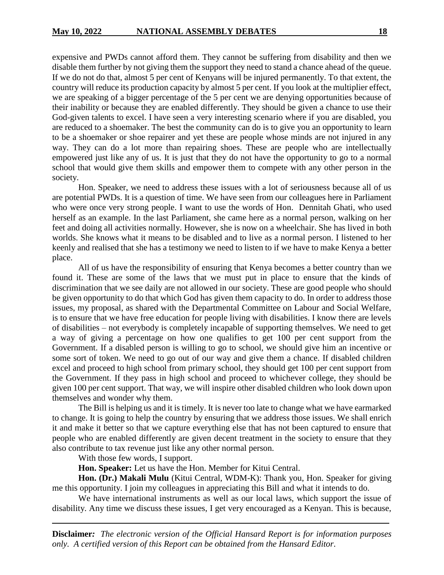expensive and PWDs cannot afford them. They cannot be suffering from disability and then we disable them further by not giving them the support they need to stand a chance ahead of the queue. If we do not do that, almost 5 per cent of Kenyans will be injured permanently. To that extent, the country will reduce its production capacity by almost 5 per cent. If you look at the multiplier effect, we are speaking of a bigger percentage of the 5 per cent we are denying opportunities because of their inability or because they are enabled differently. They should be given a chance to use their God-given talents to excel. I have seen a very interesting scenario where if you are disabled, you are reduced to a shoemaker. The best the community can do is to give you an opportunity to learn to be a shoemaker or shoe repairer and yet these are people whose minds are not injured in any way. They can do a lot more than repairing shoes. These are people who are intellectually empowered just like any of us. It is just that they do not have the opportunity to go to a normal school that would give them skills and empower them to compete with any other person in the society.

Hon. Speaker, we need to address these issues with a lot of seriousness because all of us are potential PWDs. It is a question of time. We have seen from our colleagues here in Parliament who were once very strong people. I want to use the words of Hon. Dennitah Ghati, who used herself as an example. In the last Parliament, she came here as a normal person, walking on her feet and doing all activities normally. However, she is now on a wheelchair. She has lived in both worlds. She knows what it means to be disabled and to live as a normal person. I listened to her keenly and realised that she has a testimony we need to listen to if we have to make Kenya a better place.

All of us have the responsibility of ensuring that Kenya becomes a better country than we found it. These are some of the laws that we must put in place to ensure that the kinds of discrimination that we see daily are not allowed in our society. These are good people who should be given opportunity to do that which God has given them capacity to do. In order to address those issues, my proposal, as shared with the Departmental Committee on Labour and Social Welfare, is to ensure that we have free education for people living with disabilities. I know there are levels of disabilities – not everybody is completely incapable of supporting themselves. We need to get a way of giving a percentage on how one qualifies to get 100 per cent support from the Government. If a disabled person is willing to go to school, we should give him an incentive or some sort of token. We need to go out of our way and give them a chance. If disabled children excel and proceed to high school from primary school, they should get 100 per cent support from the Government. If they pass in high school and proceed to whichever college, they should be given 100 per cent support. That way, we will inspire other disabled children who look down upon themselves and wonder why them.

The Bill is helping us and it is timely. It is never too late to change what we have earmarked to change. It is going to help the country by ensuring that we address those issues. We shall enrich it and make it better so that we capture everything else that has not been captured to ensure that people who are enabled differently are given decent treatment in the society to ensure that they also contribute to tax revenue just like any other normal person.

With those few words, I support.

**Hon. Speaker:** Let us have the Hon. Member for Kitui Central.

**Hon. (Dr.) Makali Mulu** (Kitui Central, WDM-K): Thank you, Hon. Speaker for giving me this opportunity. I join my colleagues in appreciating this Bill and what it intends to do.

We have international instruments as well as our local laws, which support the issue of disability. Any time we discuss these issues, I get very encouraged as a Kenyan. This is because,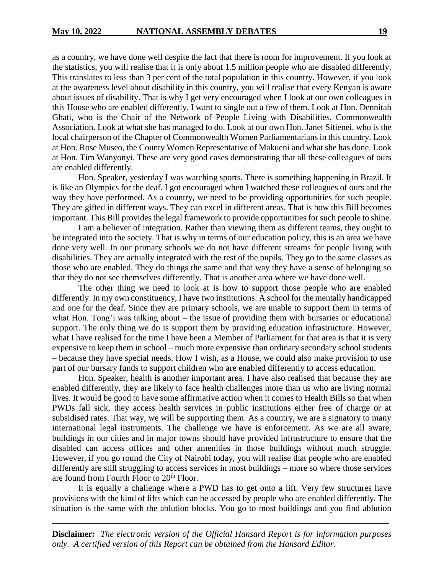as a country, we have done well despite the fact that there is room for improvement. If you look at the statistics, you will realise that it is only about 1.5 million people who are disabled differently. This translates to less than 3 per cent of the total population in this country. However, if you look at the awareness level about disability in this country, you will realise that every Kenyan is aware about issues of disability. That is why I get very encouraged when I look at our own colleagues in this House who are enabled differently. I want to single out a few of them. Look at Hon. Dennitah Ghati, who is the Chair of the Network of People Living with Disabilities, Commonwealth Association. Look at what she has managed to do. Look at our own Hon. Janet Sitienei, who is the local chairperson of the Chapter of Commonwealth Women Parliamentarians in this country. Look at Hon. Rose Museo, the County Women Representative of Makueni and what she has done. Look at Hon. Tim Wanyonyi. These are very good cases demonstrating that all these colleagues of ours are enabled differently.

Hon. Speaker, yesterday I was watching sports. There is something happening in Brazil. It is like an Olympics for the deaf. I got encouraged when I watched these colleagues of ours and the way they have performed. As a country, we need to be providing opportunities for such people. They are gifted in different ways. They can excel in different areas. That is how this Bill becomes important. This Bill provides the legal framework to provide opportunities for such people to shine.

I am a believer of integration. Rather than viewing them as different teams, they ought to be integrated into the society. That is why in terms of our education policy, this is an area we have done very well. In our primary schools we do not have different streams for people living with disabilities. They are actually integrated with the rest of the pupils. They go to the same classes as those who are enabled. They do things the same and that way they have a sense of belonging so that they do not see themselves differently. That is another area where we have done well.

The other thing we need to look at is how to support those people who are enabled differently. In my own constituency, I have two institutions: A school for the mentally handicapped and one for the deaf. Since they are primary schools, we are unable to support them in terms of what Hon. Tong'i was talking about – the issue of providing them with bursaries or educational support. The only thing we do is support them by providing education infrastructure. However, what I have realised for the time I have been a Member of Parliament for that area is that it is very expensive to keep them in school – much more expensive than ordinary secondary school students – because they have special needs. How I wish, as a House, we could also make provision to use part of our bursary funds to support children who are enabled differently to access education.

Hon. Speaker, health is another important area. I have also realised that because they are enabled differently, they are likely to face health challenges more than us who are living normal lives. It would be good to have some affirmative action when it comes to Health Bills so that when PWDs fall sick, they access health services in public institutions either free of charge or at subsidised rates. That way, we will be supporting them. As a country, we are a signatory to many international legal instruments. The challenge we have is enforcement. As we are all aware, buildings in our cities and in major towns should have provided infrastructure to ensure that the disabled can access offices and other amenities in those buildings without much struggle. However, if you go round the City of Nairobi today, you will realise that people who are enabled differently are still struggling to access services in most buildings – more so where those services are found from Fourth Floor to 20<sup>th</sup> Floor.

It is equally a challenge where a PWD has to get onto a lift. Very few structures have provisions with the kind of lifts which can be accessed by people who are enabled differently. The situation is the same with the ablution blocks. You go to most buildings and you find ablution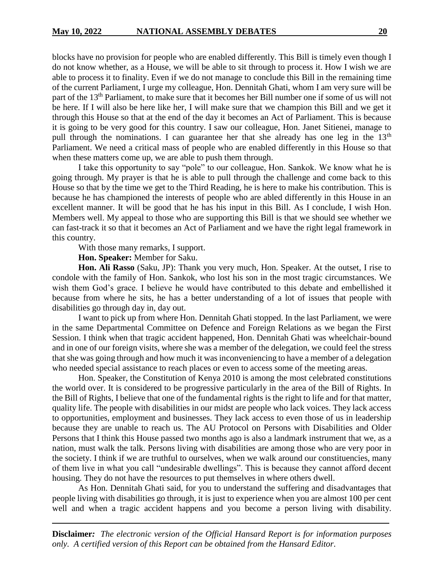blocks have no provision for people who are enabled differently. This Bill is timely even though I do not know whether, as a House, we will be able to sit through to process it. How I wish we are able to process it to finality. Even if we do not manage to conclude this Bill in the remaining time of the current Parliament, I urge my colleague, Hon. Dennitah Ghati, whom I am very sure will be part of the 13<sup>th</sup> Parliament, to make sure that it becomes her Bill number one if some of us will not be here. If I will also be here like her, I will make sure that we champion this Bill and we get it through this House so that at the end of the day it becomes an Act of Parliament. This is because it is going to be very good for this country. I saw our colleague, Hon. Janet Sitienei, manage to pull through the nominations. I can guarantee her that she already has one leg in the  $13<sup>th</sup>$ Parliament. We need a critical mass of people who are enabled differently in this House so that when these matters come up, we are able to push them through.

I take this opportunity to say "pole" to our colleague, Hon. Sankok. We know what he is going through. My prayer is that he is able to pull through the challenge and come back to this House so that by the time we get to the Third Reading, he is here to make his contribution. This is because he has championed the interests of people who are abled differently in this House in an excellent manner. It will be good that he has his input in this Bill. As I conclude, I wish Hon. Members well. My appeal to those who are supporting this Bill is that we should see whether we can fast-track it so that it becomes an Act of Parliament and we have the right legal framework in this country.

With those many remarks, I support.

**Hon. Speaker:** Member for Saku.

**Hon. Ali Rasso** (Saku, JP): Thank you very much, Hon. Speaker. At the outset, I rise to condole with the family of Hon. Sankok, who lost his son in the most tragic circumstances. We wish them God's grace. I believe he would have contributed to this debate and embellished it because from where he sits, he has a better understanding of a lot of issues that people with disabilities go through day in, day out.

I want to pick up from where Hon. Dennitah Ghati stopped. In the last Parliament, we were in the same Departmental Committee on Defence and Foreign Relations as we began the First Session. I think when that tragic accident happened, Hon. Dennitah Ghati was wheelchair-bound and in one of our foreign visits, where she was a member of the delegation, we could feel the stress that she was going through and how much it was inconveniencing to have a member of a delegation who needed special assistance to reach places or even to access some of the meeting areas.

Hon. Speaker, the Constitution of Kenya 2010 is among the most celebrated constitutions the world over. It is considered to be progressive particularly in the area of the Bill of Rights. In the Bill of Rights, I believe that one of the fundamental rights is the right to life and for that matter, quality life. The people with disabilities in our midst are people who lack voices. They lack access to opportunities, employment and businesses. They lack access to even those of us in leadership because they are unable to reach us. The AU Protocol on Persons with Disabilities and Older Persons that I think this House passed two months ago is also a landmark instrument that we, as a nation, must walk the talk. Persons living with disabilities are among those who are very poor in the society. I think if we are truthful to ourselves, when we walk around our constituencies, many of them live in what you call "undesirable dwellings". This is because they cannot afford decent housing. They do not have the resources to put themselves in where others dwell.

As Hon. Dennitah Ghati said, for you to understand the suffering and disadvantages that people living with disabilities go through, it is just to experience when you are almost 100 per cent well and when a tragic accident happens and you become a person living with disability.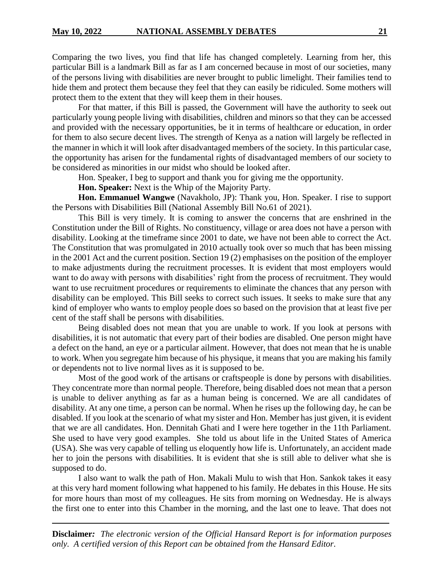Comparing the two lives, you find that life has changed completely. Learning from her, this particular Bill is a landmark Bill as far as I am concerned because in most of our societies, many of the persons living with disabilities are never brought to public limelight. Their families tend to hide them and protect them because they feel that they can easily be ridiculed. Some mothers will protect them to the extent that they will keep them in their houses.

For that matter, if this Bill is passed, the Government will have the authority to seek out particularly young people living with disabilities, children and minors so that they can be accessed and provided with the necessary opportunities, be it in terms of healthcare or education, in order for them to also secure decent lives. The strength of Kenya as a nation will largely be reflected in the manner in which it will look after disadvantaged members of the society. In this particular case, the opportunity has arisen for the fundamental rights of disadvantaged members of our society to be considered as minorities in our midst who should be looked after.

Hon. Speaker, I beg to support and thank you for giving me the opportunity.

**Hon. Speaker:** Next is the Whip of the Majority Party.

**Hon. Emmanuel Wangwe** (Navakholo, JP): Thank you, Hon. Speaker. I rise to support the Persons with Disabilities Bill (National Assembly Bill No.61 of 2021).

This Bill is very timely. It is coming to answer the concerns that are enshrined in the Constitution under the Bill of Rights. No constituency, village or area does not have a person with disability. Looking at the timeframe since 2001 to date, we have not been able to correct the Act. The Constitution that was promulgated in 2010 actually took over so much that has been missing in the 2001 Act and the current position. Section 19 (2) emphasises on the position of the employer to make adjustments during the recruitment processes. It is evident that most employers would want to do away with persons with disabilities' right from the process of recruitment. They would want to use recruitment procedures or requirements to eliminate the chances that any person with disability can be employed. This Bill seeks to correct such issues. It seeks to make sure that any kind of employer who wants to employ people does so based on the provision that at least five per cent of the staff shall be persons with disabilities.

Being disabled does not mean that you are unable to work. If you look at persons with disabilities, it is not automatic that every part of their bodies are disabled. One person might have a defect on the hand, an eye or a particular ailment. However, that does not mean that he is unable to work. When you segregate him because of his physique, it means that you are making his family or dependents not to live normal lives as it is supposed to be.

Most of the good work of the artisans or craftspeople is done by persons with disabilities. They concentrate more than normal people. Therefore, being disabled does not mean that a person is unable to deliver anything as far as a human being is concerned. We are all candidates of disability. At any one time, a person can be normal. When he rises up the following day, he can be disabled. If you look at the scenario of what my sister and Hon. Member has just given, it is evident that we are all candidates. Hon. Dennitah Ghati and I were here together in the 11th Parliament. She used to have very good examples. She told us about life in the United States of America (USA). She was very capable of telling us eloquently how life is. Unfortunately, an accident made her to join the persons with disabilities. It is evident that she is still able to deliver what she is supposed to do.

I also want to walk the path of Hon. Makali Mulu to wish that Hon. Sankok takes it easy at this very hard moment following what happened to his family. He debates in this House. He sits for more hours than most of my colleagues. He sits from morning on Wednesday. He is always the first one to enter into this Chamber in the morning, and the last one to leave. That does not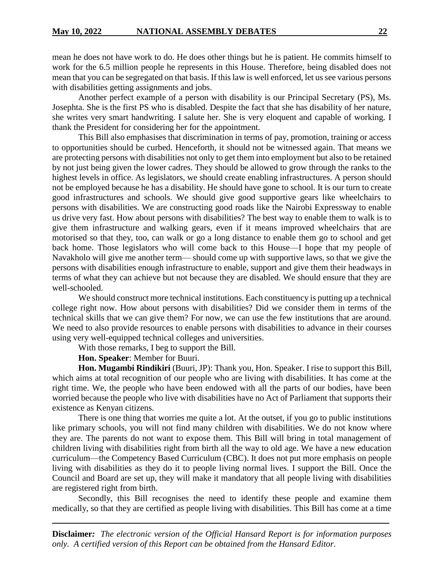mean he does not have work to do. He does other things but he is patient. He commits himself to work for the 6.5 million people he represents in this House. Therefore, being disabled does not mean that you can be segregated on that basis. If this law is well enforced, let us see various persons with disabilities getting assignments and jobs.

Another perfect example of a person with disability is our Principal Secretary (PS), Ms. Josephta. She is the first PS who is disabled. Despite the fact that she has disability of her nature, she writes very smart handwriting. I salute her. She is very eloquent and capable of working. I thank the President for considering her for the appointment.

This Bill also emphasises that discrimination in terms of pay, promotion, training or access to opportunities should be curbed. Henceforth, it should not be witnessed again. That means we are protecting persons with disabilities not only to get them into employment but also to be retained by not just being given the lower cadres. They should be allowed to grow through the ranks to the highest levels in office. As legislators, we should create enabling infrastructures. A person should not be employed because he has a disability. He should have gone to school. It is our turn to create good infrastructures and schools. We should give good supportive gears like wheelchairs to persons with disabilities. We are constructing good roads like the Nairobi Expressway to enable us drive very fast. How about persons with disabilities? The best way to enable them to walk is to give them infrastructure and walking gears, even if it means improved wheelchairs that are motorised so that they, too, can walk or go a long distance to enable them go to school and get back home. Those legislators who will come back to this House—I hope that my people of Navakholo will give me another term— should come up with supportive laws, so that we give the persons with disabilities enough infrastructure to enable, support and give them their headways in terms of what they can achieve but not because they are disabled. We should ensure that they are well-schooled.

We should construct more technical institutions. Each constituency is putting up a technical college right now. How about persons with disabilities? Did we consider them in terms of the technical skills that we can give them? For now, we can use the few institutions that are around. We need to also provide resources to enable persons with disabilities to advance in their courses using very well-equipped technical colleges and universities.

With those remarks, I beg to support the Bill.

**Hon. Speaker**: Member for Buuri.

**Hon. Mugambi Rindikiri** (Buuri, JP): Thank you, Hon. Speaker. I rise to support this Bill, which aims at total recognition of our people who are living with disabilities. It has come at the right time. We, the people who have been endowed with all the parts of our bodies, have been worried because the people who live with disabilities have no Act of Parliament that supports their existence as Kenyan citizens.

There is one thing that worries me quite a lot. At the outset, if you go to public institutions like primary schools, you will not find many children with disabilities. We do not know where they are. The parents do not want to expose them. This Bill will bring in total management of children living with disabilities right from birth all the way to old age. We have a new education curriculum—the Competency Based Curriculum (CBC). It does not put more emphasis on people living with disabilities as they do it to people living normal lives. I support the Bill. Once the Council and Board are set up, they will make it mandatory that all people living with disabilities are registered right from birth.

Secondly, this Bill recognises the need to identify these people and examine them medically, so that they are certified as people living with disabilities. This Bill has come at a time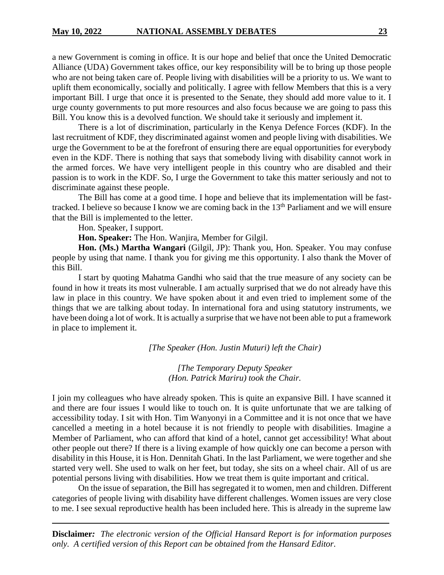a new Government is coming in office. It is our hope and belief that once the United Democratic Alliance (UDA) Government takes office, our key responsibility will be to bring up those people who are not being taken care of. People living with disabilities will be a priority to us. We want to uplift them economically, socially and politically. I agree with fellow Members that this is a very important Bill. I urge that once it is presented to the Senate, they should add more value to it. I urge county governments to put more resources and also focus because we are going to pass this Bill. You know this is a devolved function. We should take it seriously and implement it.

There is a lot of discrimination, particularly in the Kenya Defence Forces (KDF). In the last recruitment of KDF, they discriminated against women and people living with disabilities. We urge the Government to be at the forefront of ensuring there are equal opportunities for everybody even in the KDF. There is nothing that says that somebody living with disability cannot work in the armed forces. We have very intelligent people in this country who are disabled and their passion is to work in the KDF. So, I urge the Government to take this matter seriously and not to discriminate against these people.

The Bill has come at a good time. I hope and believe that its implementation will be fasttracked. I believe so because I know we are coming back in the 13<sup>th</sup> Parliament and we will ensure that the Bill is implemented to the letter.

Hon. Speaker, I support.

**Hon. Speaker:** The Hon. Wanjira, Member for Gilgil.

**Hon. (Ms.) Martha Wangari** (Gilgil, JP): Thank you, Hon. Speaker. You may confuse people by using that name. I thank you for giving me this opportunity. I also thank the Mover of this Bill.

I start by quoting Mahatma Gandhi who said that the true measure of any society can be found in how it treats its most vulnerable. I am actually surprised that we do not already have this law in place in this country. We have spoken about it and even tried to implement some of the things that we are talking about today. In international fora and using statutory instruments, we have been doing a lot of work. It is actually a surprise that we have not been able to put a framework in place to implement it.

*[The Speaker (Hon. Justin Muturi) left the Chair)*

*[The Temporary Deputy Speaker (Hon. Patrick Mariru) took the Chair.*

I join my colleagues who have already spoken. This is quite an expansive Bill. I have scanned it and there are four issues I would like to touch on. It is quite unfortunate that we are talking of accessibility today. I sit with Hon. Tim Wanyonyi in a Committee and it is not once that we have cancelled a meeting in a hotel because it is not friendly to people with disabilities. Imagine a Member of Parliament, who can afford that kind of a hotel, cannot get accessibility! What about other people out there? If there is a living example of how quickly one can become a person with disability in this House, it is Hon. Dennitah Ghati. In the last Parliament, we were together and she started very well. She used to walk on her feet, but today, she sits on a wheel chair. All of us are potential persons living with disabilities. How we treat them is quite important and critical.

On the issue of separation, the Bill has segregated it to women, men and children. Different categories of people living with disability have different challenges. Women issues are very close to me. I see sexual reproductive health has been included here. This is already in the supreme law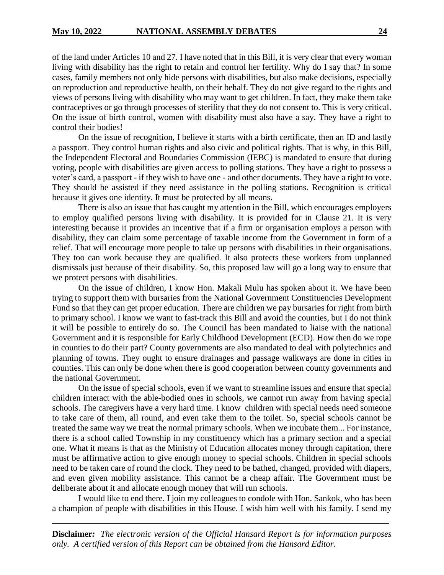of the land under Articles 10 and 27. I have noted that in this Bill, it is very clear that every woman living with disability has the right to retain and control her fertility. Why do I say that? In some cases, family members not only hide persons with disabilities, but also make decisions, especially on reproduction and reproductive health, on their behalf. They do not give regard to the rights and views of persons living with disability who may want to get children. In fact, they make them take contraceptives or go through processes of sterility that they do not consent to. This is very critical. On the issue of birth control, women with disability must also have a say. They have a right to control their bodies!

On the issue of recognition, I believe it starts with a birth certificate, then an ID and lastly a passport. They control human rights and also civic and political rights. That is why, in this Bill, the Independent Electoral and Boundaries Commission (IEBC) is mandated to ensure that during voting, people with disabilities are given access to polling stations. They have a right to possess a voter's card, a passport - if they wish to have one - and other documents. They have a right to vote. They should be assisted if they need assistance in the polling stations. Recognition is critical because it gives one identity. It must be protected by all means.

There is also an issue that has caught my attention in the Bill, which encourages employers to employ qualified persons living with disability. It is provided for in Clause 21. It is very interesting because it provides an incentive that if a firm or organisation employs a person with disability, they can claim some percentage of taxable income from the Government in form of a relief. That will encourage more people to take up persons with disabilities in their organisations. They too can work because they are qualified. It also protects these workers from unplanned dismissals just because of their disability. So, this proposed law will go a long way to ensure that we protect persons with disabilities.

On the issue of children, I know Hon. Makali Mulu has spoken about it. We have been trying to support them with bursaries from the National Government Constituencies Development Fund so that they can get proper education. There are children we pay bursaries for right from birth to primary school. I know we want to fast-track this Bill and avoid the counties, but I do not think it will be possible to entirely do so. The Council has been mandated to liaise with the national Government and it is responsible for Early Childhood Development (ECD). How then do we rope in counties to do their part? County governments are also mandated to deal with polytechnics and planning of towns. They ought to ensure drainages and passage walkways are done in cities in counties. This can only be done when there is good cooperation between county governments and the national Government.

On the issue of special schools, even if we want to streamline issues and ensure that special children interact with the able-bodied ones in schools, we cannot run away from having special schools. The caregivers have a very hard time. I know children with special needs need someone to take care of them, all round, and even take them to the toilet. So, special schools cannot be treated the same way we treat the normal primary schools. When we incubate them... For instance, there is a school called Township in my constituency which has a primary section and a special one. What it means is that as the Ministry of Education allocates money through capitation, there must be affirmative action to give enough money to special schools. Children in special schools need to be taken care of round the clock. They need to be bathed, changed, provided with diapers, and even given mobility assistance. This cannot be a cheap affair. The Government must be deliberate about it and allocate enough money that will run schools.

I would like to end there. I join my colleagues to condole with Hon. Sankok, who has been a champion of people with disabilities in this House. I wish him well with his family. I send my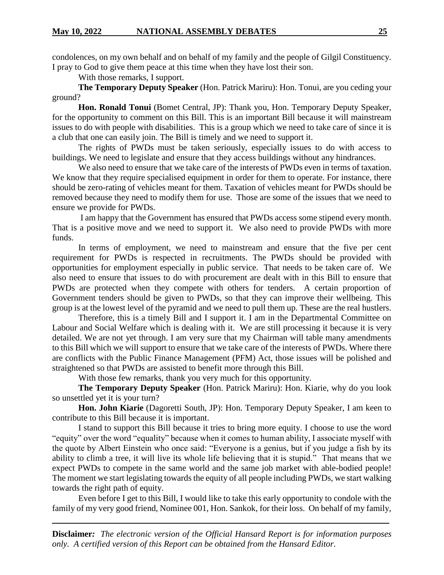condolences, on my own behalf and on behalf of my family and the people of Gilgil Constituency. I pray to God to give them peace at this time when they have lost their son.

With those remarks, I support.

**The Temporary Deputy Speaker** (Hon. Patrick Mariru): Hon. Tonui, are you ceding your ground?

**Hon. Ronald Tonui** (Bomet Central, JP): Thank you, Hon. Temporary Deputy Speaker, for the opportunity to comment on this Bill. This is an important Bill because it will mainstream issues to do with people with disabilities. This is a group which we need to take care of since it is a club that one can easily join. The Bill is timely and we need to support it.

The rights of PWDs must be taken seriously, especially issues to do with access to buildings. We need to legislate and ensure that they access buildings without any hindrances.

We also need to ensure that we take care of the interests of PWDs even in terms of taxation. We know that they require specialised equipment in order for them to operate. For instance, there should be zero-rating of vehicles meant for them. Taxation of vehicles meant for PWDs should be removed because they need to modify them for use. Those are some of the issues that we need to ensure we provide for PWDs.

I am happy that the Government has ensured that PWDs access some stipend every month. That is a positive move and we need to support it. We also need to provide PWDs with more funds.

In terms of employment, we need to mainstream and ensure that the five per cent requirement for PWDs is respected in recruitments. The PWDs should be provided with opportunities for employment especially in public service. That needs to be taken care of. We also need to ensure that issues to do with procurement are dealt with in this Bill to ensure that PWDs are protected when they compete with others for tenders. A certain proportion of Government tenders should be given to PWDs, so that they can improve their wellbeing. This group is at the lowest level of the pyramid and we need to pull them up. These are the real hustlers.

Therefore, this is a timely Bill and I support it. I am in the Departmental Committee on Labour and Social Welfare which is dealing with it. We are still processing it because it is very detailed. We are not yet through. I am very sure that my Chairman will table many amendments to this Bill which we will support to ensure that we take care of the interests of PWDs. Where there are conflicts with the Public Finance Management (PFM) Act, those issues will be polished and straightened so that PWDs are assisted to benefit more through this Bill.

With those few remarks, thank you very much for this opportunity.

**The Temporary Deputy Speaker** (Hon. Patrick Mariru): Hon. Kiarie, why do you look so unsettled yet it is your turn?

**Hon. John Kiarie** (Dagoretti South, JP): Hon. Temporary Deputy Speaker, I am keen to contribute to this Bill because it is important.

I stand to support this Bill because it tries to bring more equity. I choose to use the word "equity" over the word "equality" because when it comes to human ability, I associate myself with the quote by Albert Einstein who once said: "Everyone is a genius, but if you judge a fish by its ability to climb a tree, it will live its whole life believing that it is stupid." That means that we expect PWDs to compete in the same world and the same job market with able-bodied people! The moment we start legislating towards the equity of all people including PWDs, we start walking towards the right path of equity.

Even before I get to this Bill, I would like to take this early opportunity to condole with the family of my very good friend, Nominee 001, Hon. Sankok, for their loss. On behalf of my family,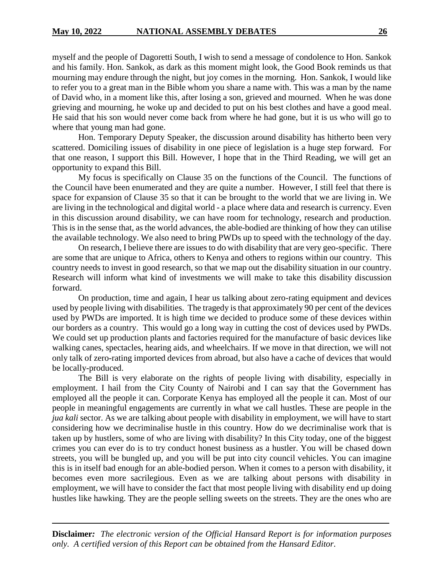myself and the people of Dagoretti South, I wish to send a message of condolence to Hon. Sankok and his family. Hon. Sankok, as dark as this moment might look, the Good Book reminds us that mourning may endure through the night, but joy comes in the morning. Hon. Sankok, I would like to refer you to a great man in the Bible whom you share a name with. This was a man by the name of David who, in a moment like this, after losing a son, grieved and mourned. When he was done grieving and mourning, he woke up and decided to put on his best clothes and have a good meal. He said that his son would never come back from where he had gone, but it is us who will go to where that young man had gone.

Hon. Temporary Deputy Speaker, the discussion around disability has hitherto been very scattered. Domiciling issues of disability in one piece of legislation is a huge step forward. For that one reason, I support this Bill. However, I hope that in the Third Reading, we will get an opportunity to expand this Bill.

My focus is specifically on Clause 35 on the functions of the Council. The functions of the Council have been enumerated and they are quite a number. However, I still feel that there is space for expansion of Clause 35 so that it can be brought to the world that we are living in. We are living in the technological and digital world - a place where data and research is currency. Even in this discussion around disability, we can have room for technology, research and production. This is in the sense that, as the world advances, the able-bodied are thinking of how they can utilise the available technology. We also need to bring PWDs up to speed with the technology of the day.

On research, I believe there are issues to do with disability that are very geo-specific. There are some that are unique to Africa, others to Kenya and others to regions within our country. This country needs to invest in good research, so that we map out the disability situation in our country. Research will inform what kind of investments we will make to take this disability discussion forward.

On production, time and again, I hear us talking about zero-rating equipment and devices used by people living with disabilities. The tragedy is that approximately 90 per cent of the devices used by PWDs are imported. It is high time we decided to produce some of these devices within our borders as a country. This would go a long way in cutting the cost of devices used by PWDs. We could set up production plants and factories required for the manufacture of basic devices like walking canes, spectacles, hearing aids, and wheelchairs. If we move in that direction, we will not only talk of zero-rating imported devices from abroad, but also have a cache of devices that would be locally-produced.

The Bill is very elaborate on the rights of people living with disability, especially in employment. I hail from the City County of Nairobi and I can say that the Government has employed all the people it can. Corporate Kenya has employed all the people it can. Most of our people in meaningful engagements are currently in what we call hustles. These are people in the *jua kali* sector. As we are talking about people with disability in employment, we will have to start considering how we decriminalise hustle in this country. How do we decriminalise work that is taken up by hustlers, some of who are living with disability? In this City today, one of the biggest crimes you can ever do is to try conduct honest business as a hustler. You will be chased down streets, you will be bungled up, and you will be put into city council vehicles. You can imagine this is in itself bad enough for an able-bodied person. When it comes to a person with disability, it becomes even more sacrilegious. Even as we are talking about persons with disability in employment, we will have to consider the fact that most people living with disability end up doing hustles like hawking. They are the people selling sweets on the streets. They are the ones who are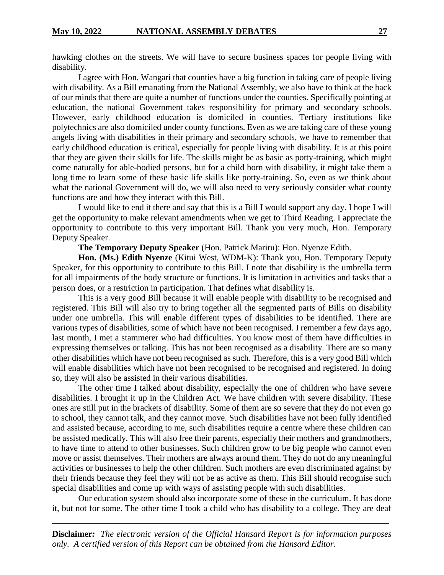hawking clothes on the streets. We will have to secure business spaces for people living with disability.

I agree with Hon. Wangari that counties have a big function in taking care of people living with disability. As a Bill emanating from the National Assembly, we also have to think at the back of our minds that there are quite a number of functions under the counties. Specifically pointing at education, the national Government takes responsibility for primary and secondary schools. However, early childhood education is domiciled in counties. Tertiary institutions like polytechnics are also domiciled under county functions. Even as we are taking care of these young angels living with disabilities in their primary and secondary schools, we have to remember that early childhood education is critical, especially for people living with disability. It is at this point that they are given their skills for life. The skills might be as basic as potty-training, which might come naturally for able-bodied persons, but for a child born with disability, it might take them a long time to learn some of these basic life skills like potty-training. So, even as we think about what the national Government will do, we will also need to very seriously consider what county functions are and how they interact with this Bill.

I would like to end it there and say that this is a Bill I would support any day. I hope I will get the opportunity to make relevant amendments when we get to Third Reading. I appreciate the opportunity to contribute to this very important Bill. Thank you very much, Hon. Temporary Deputy Speaker.

**The Temporary Deputy Speaker** (Hon. Patrick Mariru): Hon. Nyenze Edith.

**Hon. (Ms.) Edith Nyenze** (Kitui West, WDM-K): Thank you, Hon. Temporary Deputy Speaker, for this opportunity to contribute to this Bill. I note that disability is the umbrella term for all impairments of the body structure or functions. It is limitation in activities and tasks that a person does, or a restriction in participation. That defines what disability is.

This is a very good Bill because it will enable people with disability to be recognised and registered. This Bill will also try to bring together all the segmented parts of Bills on disability under one umbrella. This will enable different types of disabilities to be identified. There are various types of disabilities, some of which have not been recognised. I remember a few days ago, last month, I met a stammerer who had difficulties. You know most of them have difficulties in expressing themselves or talking. This has not been recognised as a disability. There are so many other disabilities which have not been recognised as such. Therefore, this is a very good Bill which will enable disabilities which have not been recognised to be recognised and registered. In doing so, they will also be assisted in their various disabilities.

The other time I talked about disability, especially the one of children who have severe disabilities. I brought it up in the Children Act. We have children with severe disability. These ones are still put in the brackets of disability. Some of them are so severe that they do not even go to school, they cannot talk, and they cannot move. Such disabilities have not been fully identified and assisted because, according to me, such disabilities require a centre where these children can be assisted medically. This will also free their parents, especially their mothers and grandmothers, to have time to attend to other businesses. Such children grow to be big people who cannot even move or assist themselves. Their mothers are always around them. They do not do any meaningful activities or businesses to help the other children. Such mothers are even discriminated against by their friends because they feel they will not be as active as them. This Bill should recognise such special disabilities and come up with ways of assisting people with such disabilities.

Our education system should also incorporate some of these in the curriculum. It has done it, but not for some. The other time I took a child who has disability to a college. They are deaf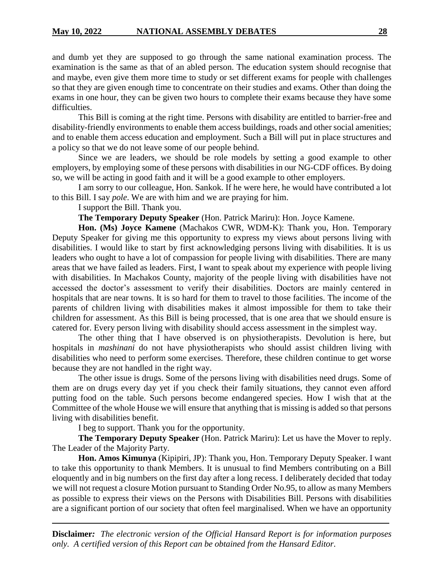and dumb yet they are supposed to go through the same national examination process. The examination is the same as that of an abled person. The education system should recognise that and maybe, even give them more time to study or set different exams for people with challenges so that they are given enough time to concentrate on their studies and exams. Other than doing the exams in one hour, they can be given two hours to complete their exams because they have some difficulties.

This Bill is coming at the right time. Persons with disability are entitled to barrier-free and disability-friendly environments to enable them access buildings, roads and other social amenities; and to enable them access education and employment. Such a Bill will put in place structures and a policy so that we do not leave some of our people behind.

 Since we are leaders, we should be role models by setting a good example to other employers, by employing some of these persons with disabilities in our NG-CDF offices. By doing so, we will be acting in good faith and it will be a good example to other employers.

I am sorry to our colleague, Hon. Sankok. If he were here, he would have contributed a lot to this Bill. I say *pole*. We are with him and we are praying for him.

I support the Bill. Thank you.

**The Temporary Deputy Speaker** (Hon. Patrick Mariru): Hon. Joyce Kamene.

**Hon. (Ms) Joyce Kamene** (Machakos CWR, WDM-K): Thank you, Hon. Temporary Deputy Speaker for giving me this opportunity to express my views about persons living with disabilities. I would like to start by first acknowledging persons living with disabilities. It is us leaders who ought to have a lot of compassion for people living with disabilities. There are many areas that we have failed as leaders. First, I want to speak about my experience with people living with disabilities. In Machakos County, majority of the people living with disabilities have not accessed the doctor's assessment to verify their disabilities. Doctors are mainly centered in hospitals that are near towns. It is so hard for them to travel to those facilities. The income of the parents of children living with disabilities makes it almost impossible for them to take their children for assessment. As this Bill is being processed, that is one area that we should ensure is catered for. Every person living with disability should access assessment in the simplest way.

The other thing that I have observed is on physiotherapists. Devolution is here, but hospitals in *mashinani* do not have physiotherapists who should assist children living with disabilities who need to perform some exercises. Therefore, these children continue to get worse because they are not handled in the right way.

The other issue is drugs. Some of the persons living with disabilities need drugs. Some of them are on drugs every day yet if you check their family situations, they cannot even afford putting food on the table. Such persons become endangered species. How I wish that at the Committee of the whole House we will ensure that anything that is missing is added so that persons living with disabilities benefit.

I beg to support. Thank you for the opportunity.

**The Temporary Deputy Speaker** (Hon. Patrick Mariru): Let us have the Mover to reply. The Leader of the Majority Party.

**Hon. Amos Kimunya** (Kipipiri, JP): Thank you, Hon. Temporary Deputy Speaker. I want to take this opportunity to thank Members. It is unusual to find Members contributing on a Bill eloquently and in big numbers on the first day after a long recess. I deliberately decided that today we will not request a closure Motion pursuant to Standing Order No.95, to allow as many Members as possible to express their views on the Persons with Disabilities Bill. Persons with disabilities are a significant portion of our society that often feel marginalised. When we have an opportunity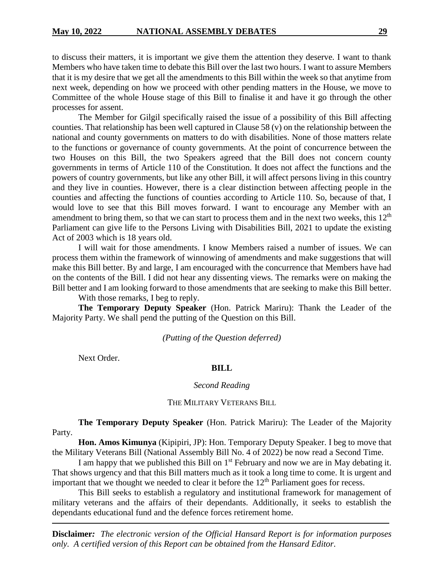to discuss their matters, it is important we give them the attention they deserve. I want to thank Members who have taken time to debate this Bill over the last two hours. I want to assure Members that it is my desire that we get all the amendments to this Bill within the week so that anytime from next week, depending on how we proceed with other pending matters in the House, we move to Committee of the whole House stage of this Bill to finalise it and have it go through the other processes for assent.

The Member for Gilgil specifically raised the issue of a possibility of this Bill affecting counties. That relationship has been well captured in Clause 58 (v) on the relationship between the national and county governments on matters to do with disabilities. None of those matters relate to the functions or governance of county governments. At the point of concurrence between the two Houses on this Bill, the two Speakers agreed that the Bill does not concern county governments in terms of Article 110 of the Constitution. It does not affect the functions and the powers of country governments, but like any other Bill, it will affect persons living in this country and they live in counties. However, there is a clear distinction between affecting people in the counties and affecting the functions of counties according to Article 110. So, because of that, I would love to see that this Bill moves forward. I want to encourage any Member with an amendment to bring them, so that we can start to process them and in the next two weeks, this  $12<sup>th</sup>$ Parliament can give life to the Persons Living with Disabilities Bill, 2021 to update the existing Act of 2003 which is 18 years old.

I will wait for those amendments. I know Members raised a number of issues. We can process them within the framework of winnowing of amendments and make suggestions that will make this Bill better. By and large, I am encouraged with the concurrence that Members have had on the contents of the Bill. I did not hear any dissenting views. The remarks were on making the Bill better and I am looking forward to those amendments that are seeking to make this Bill better.

With those remarks, I beg to reply.

**The Temporary Deputy Speaker** (Hon. Patrick Mariru): Thank the Leader of the Majority Party. We shall pend the putting of the Question on this Bill.

*(Putting of the Question deferred)*

Next Order.

#### **BILL**

#### *Second Reading*

#### THE MILITARY VETERANS BILL

**The Temporary Deputy Speaker** (Hon. Patrick Mariru): The Leader of the Majority Party.

**Hon. Amos Kimunya** (Kipipiri, JP): Hon. Temporary Deputy Speaker. I beg to move that the Military Veterans Bill (National Assembly Bill No. 4 of 2022) be now read a Second Time.

I am happy that we published this Bill on 1<sup>st</sup> February and now we are in May debating it. That shows urgency and that this Bill matters much as it took a long time to come. It is urgent and important that we thought we needed to clear it before the  $12<sup>th</sup>$  Parliament goes for recess.

This Bill seeks to establish a regulatory and institutional framework for management of military veterans and the affairs of their dependants. Additionally, it seeks to establish the dependants educational fund and the defence forces retirement home.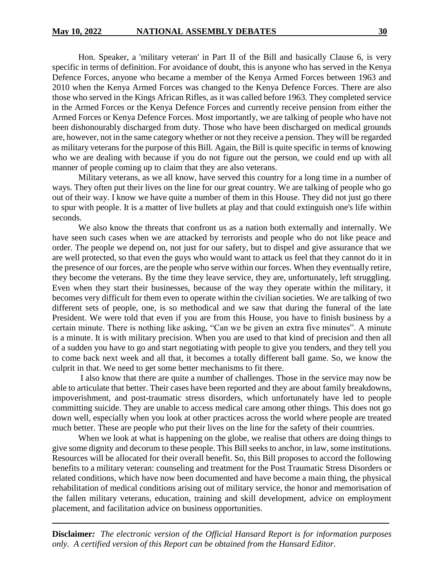Hon. Speaker, a 'military veteran' in Part II of the Bill and basically Clause 6, is very specific in terms of definition. For avoidance of doubt, this is anyone who has served in the Kenya Defence Forces, anyone who became a member of the Kenya Armed Forces between 1963 and 2010 when the Kenya Armed Forces was changed to the Kenya Defence Forces. There are also those who served in the Kings African Rifles, as it was called before 1963. They completed service in the Armed Forces or the Kenya Defence Forces and currently receive pension from either the Armed Forces or Kenya Defence Forces. Most importantly, we are talking of people who have not been dishonourably discharged from duty. Those who have been discharged on medical grounds are, however, not in the same category whether or not they receive a pension. They will be regarded as military veterans for the purpose of this Bill. Again, the Bill is quite specific in terms of knowing who we are dealing with because if you do not figure out the person, we could end up with all manner of people coming up to claim that they are also veterans.

Military veterans, as we all know, have served this country for a long time in a number of ways. They often put their lives on the line for our great country. We are talking of people who go out of their way. I know we have quite a number of them in this House. They did not just go there to spur with people. It is a matter of live bullets at play and that could extinguish one's life within seconds.

We also know the threats that confront us as a nation both externally and internally. We have seen such cases when we are attacked by terrorists and people who do not like peace and order. The people we depend on, not just for our safety, but to dispel and give assurance that we are well protected, so that even the guys who would want to attack us feel that they cannot do it in the presence of our forces, are the people who serve within our forces. When they eventually retire, they become the veterans. By the time they leave service, they are, unfortunately, left struggling. Even when they start their businesses, because of the way they operate within the military, it becomes very difficult for them even to operate within the civilian societies. We are talking of two different sets of people, one, is so methodical and we saw that during the funeral of the late President. We were told that even if you are from this House, you have to finish business by a certain minute. There is nothing like asking, "Can we be given an extra five minutes". A minute is a minute. It is with military precision. When you are used to that kind of precision and then all of a sudden you have to go and start negotiating with people to give you tenders, and they tell you to come back next week and all that, it becomes a totally different ball game. So, we know the culprit in that. We need to get some better mechanisms to fit there.

I also know that there are quite a number of challenges. Those in the service may now be able to articulate that better. Their cases have been reported and they are about family breakdowns, impoverishment, and post-traumatic stress disorders, which unfortunately have led to people committing suicide. They are unable to access medical care among other things. This does not go down well, especially when you look at other practices across the world where people are treated much better. These are people who put their lives on the line for the safety of their countries.

When we look at what is happening on the globe, we realise that others are doing things to give some dignity and decorum to these people. This Bill seeks to anchor, in law, some institutions. Resources will be allocated for their overall benefit. So, this Bill proposes to accord the following benefits to a military veteran: counseling and treatment for the Post Traumatic Stress Disorders or related conditions, which have now been documented and have become a main thing, the physical rehabilitation of medical conditions arising out of military service, the honor and memorisation of the fallen military veterans, education, training and skill development, advice on employment placement, and facilitation advice on business opportunities.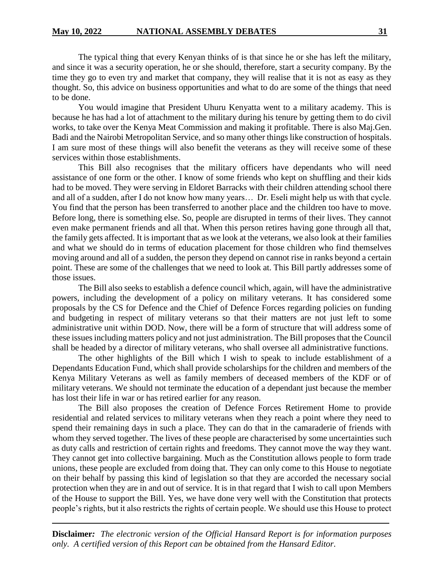The typical thing that every Kenyan thinks of is that since he or she has left the military, and since it was a security operation, he or she should, therefore, start a security company. By the time they go to even try and market that company, they will realise that it is not as easy as they thought. So, this advice on business opportunities and what to do are some of the things that need to be done.

You would imagine that President Uhuru Kenyatta went to a military academy. This is because he has had a lot of attachment to the military during his tenure by getting them to do civil works, to take over the Kenya Meat Commission and making it profitable. There is also Maj.Gen. Badi and the Nairobi Metropolitan Service, and so many other things like construction of hospitals. I am sure most of these things will also benefit the veterans as they will receive some of these services within those establishments.

This Bill also recognises that the military officers have dependants who will need assistance of one form or the other. I know of some friends who kept on shuffling and their kids had to be moved. They were serving in Eldoret Barracks with their children attending school there and all of a sudden, after I do not know how many years… Dr. Eseli might help us with that cycle. You find that the person has been transferred to another place and the children too have to move. Before long, there is something else. So, people are disrupted in terms of their lives. They cannot even make permanent friends and all that. When this person retires having gone through all that, the family gets affected. It is important that as we look at the veterans, we also look at their families and what we should do in terms of education placement for those children who find themselves moving around and all of a sudden, the person they depend on cannot rise in ranks beyond a certain point. These are some of the challenges that we need to look at. This Bill partly addresses some of those issues.

The Bill also seeks to establish a defence council which, again, will have the administrative powers, including the development of a policy on military veterans. It has considered some proposals by the CS for Defence and the Chief of Defence Forces regarding policies on funding and budgeting in respect of military veterans so that their matters are not just left to some administrative unit within DOD. Now, there will be a form of structure that will address some of these issues including matters policy and not just administration. The Bill proposes that the Council shall be headed by a director of military veterans, who shall oversee all administrative functions.

The other highlights of the Bill which I wish to speak to include establishment of a Dependants Education Fund, which shall provide scholarships for the children and members of the Kenya Military Veterans as well as family members of deceased members of the KDF or of military veterans. We should not terminate the education of a dependant just because the member has lost their life in war or has retired earlier for any reason.

The Bill also proposes the creation of Defence Forces Retirement Home to provide residential and related services to military veterans when they reach a point where they need to spend their remaining days in such a place. They can do that in the camaraderie of friends with whom they served together. The lives of these people are characterised by some uncertainties such as duty calls and restriction of certain rights and freedoms. They cannot move the way they want. They cannot get into collective bargaining. Much as the Constitution allows people to form trade unions, these people are excluded from doing that. They can only come to this House to negotiate on their behalf by passing this kind of legislation so that they are accorded the necessary social protection when they are in and out of service. It is in that regard that I wish to call upon Members of the House to support the Bill. Yes, we have done very well with the Constitution that protects people's rights, but it also restricts the rights of certain people. We should use this House to protect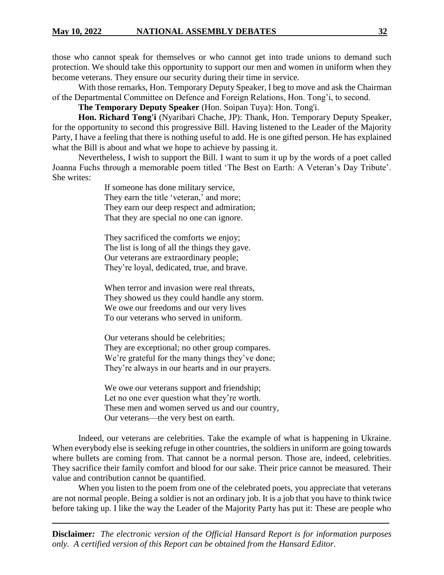those who cannot speak for themselves or who cannot get into trade unions to demand such protection. We should take this opportunity to support our men and women in uniform when they become veterans. They ensure our security during their time in service.

With those remarks, Hon. Temporary Deputy Speaker, I beg to move and ask the Chairman of the Departmental Committee on Defence and Foreign Relations, Hon. Tong'i, to second.

**The Temporary Deputy Speaker** (Hon. Soipan Tuya): Hon. Tong'i.

**Hon. Richard Tong'i** (Nyaribari Chache, JP): Thank, Hon. Temporary Deputy Speaker, for the opportunity to second this progressive Bill. Having listened to the Leader of the Majority Party, I have a feeling that there is nothing useful to add. He is one gifted person. He has explained what the Bill is about and what we hope to achieve by passing it.

Nevertheless, I wish to support the Bill. I want to sum it up by the words of a poet called Joanna Fuchs through a memorable poem titled 'The Best on Earth: A Veteran's Day Tribute'. She writes:

> If someone has done military service, They earn the title 'veteran,' and more; They earn our deep respect and admiration; That they are special no one can ignore.

They sacrificed the comforts we enjoy; The list is long of all the things they gave. Our veterans are extraordinary people; They're loyal, dedicated, true, and brave.

When terror and invasion were real threats, They showed us they could handle any storm. We owe our freedoms and our very lives To our veterans who served in uniform.

Our veterans should be celebrities; They are exceptional; no other group compares. We're grateful for the many things they've done; They're always in our hearts and in our prayers.

We owe our veterans support and friendship; Let no one ever question what they're worth. These men and women served us and our country, Our veterans—the very best on earth.

Indeed, our veterans are celebrities. Take the example of what is happening in Ukraine. When everybody else is seeking refuge in other countries, the soldiers in uniform are going towards where bullets are coming from. That cannot be a normal person. Those are, indeed, celebrities. They sacrifice their family comfort and blood for our sake. Their price cannot be measured. Their value and contribution cannot be quantified.

When you listen to the poem from one of the celebrated poets, you appreciate that veterans are not normal people. Being a soldier is not an ordinary job. It is a job that you have to think twice before taking up. I like the way the Leader of the Majority Party has put it: These are people who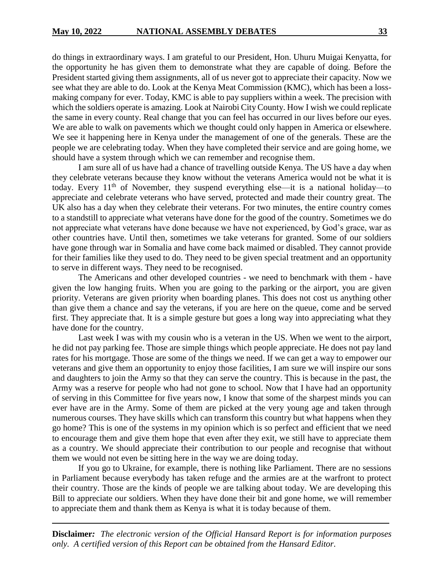do things in extraordinary ways. I am grateful to our President, Hon. Uhuru Muigai Kenyatta, for the opportunity he has given them to demonstrate what they are capable of doing. Before the President started giving them assignments, all of us never got to appreciate their capacity. Now we see what they are able to do. Look at the Kenya Meat Commission (KMC), which has been a lossmaking company for ever. Today, KMC is able to pay suppliers within a week. The precision with which the soldiers operate is amazing. Look at Nairobi City County. How I wish we could replicate the same in every county. Real change that you can feel has occurred in our lives before our eyes. We are able to walk on pavements which we thought could only happen in America or elsewhere. We see it happening here in Kenya under the management of one of the generals. These are the people we are celebrating today. When they have completed their service and are going home, we should have a system through which we can remember and recognise them.

I am sure all of us have had a chance of travelling outside Kenya. The US have a day when they celebrate veterans because they know without the veterans America would not be what it is today. Every 11<sup>th</sup> of November, they suspend everything else—it is a national holiday—to appreciate and celebrate veterans who have served, protected and made their country great. The UK also has a day when they celebrate their veterans. For two minutes, the entire country comes to a standstill to appreciate what veterans have done for the good of the country. Sometimes we do not appreciate what veterans have done because we have not experienced, by God's grace, war as other countries have. Until then, sometimes we take veterans for granted. Some of our soldiers have gone through war in Somalia and have come back maimed or disabled. They cannot provide for their families like they used to do. They need to be given special treatment and an opportunity to serve in different ways. They need to be recognised.

The Americans and other developed countries - we need to benchmark with them - have given the low hanging fruits. When you are going to the parking or the airport, you are given priority. Veterans are given priority when boarding planes. This does not cost us anything other than give them a chance and say the veterans, if you are here on the queue, come and be served first. They appreciate that. It is a simple gesture but goes a long way into appreciating what they have done for the country.

Last week I was with my cousin who is a veteran in the US. When we went to the airport, he did not pay parking fee. Those are simple things which people appreciate. He does not pay land rates for his mortgage. Those are some of the things we need. If we can get a way to empower our veterans and give them an opportunity to enjoy those facilities, I am sure we will inspire our sons and daughters to join the Army so that they can serve the country. This is because in the past, the Army was a reserve for people who had not gone to school. Now that I have had an opportunity of serving in this Committee for five years now, I know that some of the sharpest minds you can ever have are in the Army. Some of them are picked at the very young age and taken through numerous courses. They have skills which can transform this country but what happens when they go home? This is one of the systems in my opinion which is so perfect and efficient that we need to encourage them and give them hope that even after they exit, we still have to appreciate them as a country. We should appreciate their contribution to our people and recognise that without them we would not even be sitting here in the way we are doing today.

If you go to Ukraine, for example, there is nothing like Parliament. There are no sessions in Parliament because everybody has taken refuge and the armies are at the warfront to protect their country. Those are the kinds of people we are talking about today. We are developing this Bill to appreciate our soldiers. When they have done their bit and gone home, we will remember to appreciate them and thank them as Kenya is what it is today because of them.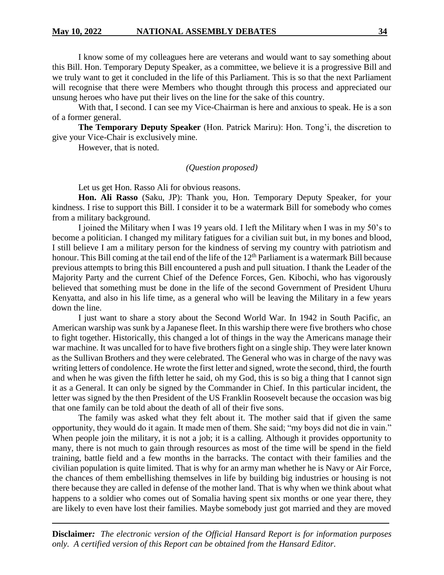I know some of my colleagues here are veterans and would want to say something about this Bill. Hon. Temporary Deputy Speaker, as a committee, we believe it is a progressive Bill and we truly want to get it concluded in the life of this Parliament. This is so that the next Parliament will recognise that there were Members who thought through this process and appreciated our unsung heroes who have put their lives on the line for the sake of this country.

With that, I second. I can see my Vice-Chairman is here and anxious to speak. He is a son of a former general.

**The Temporary Deputy Speaker** (Hon. Patrick Mariru): Hon. Tong'i, the discretion to give your Vice-Chair is exclusively mine.

However, that is noted.

## *(Question proposed)*

Let us get Hon. Rasso Ali for obvious reasons.

**Hon. Ali Rasso** (Saku, JP): Thank you, Hon. Temporary Deputy Speaker, for your kindness. I rise to support this Bill. I consider it to be a watermark Bill for somebody who comes from a military background.

I joined the Military when I was 19 years old. I left the Military when I was in my 50's to become a politician. I changed my military fatigues for a civilian suit but, in my bones and blood, I still believe I am a military person for the kindness of serving my country with patriotism and honour. This Bill coming at the tail end of the life of the 12<sup>th</sup> Parliament is a watermark Bill because previous attempts to bring this Bill encountered a push and pull situation. I thank the Leader of the Majority Party and the current Chief of the Defence Forces, Gen. Kibochi, who has vigorously believed that something must be done in the life of the second Government of President Uhuru Kenyatta, and also in his life time, as a general who will be leaving the Military in a few years down the line.

I just want to share a story about the Second World War. In 1942 in South Pacific, an American warship was sunk by a Japanese fleet. In this warship there were five brothers who chose to fight together. Historically, this changed a lot of things in the way the Americans manage their war machine. It was uncalled for to have five brothers fight on a single ship. They were later known as the Sullivan Brothers and they were celebrated. The General who was in charge of the navy was writing letters of condolence. He wrote the first letter and signed, wrote the second, third, the fourth and when he was given the fifth letter he said, oh my God, this is so big a thing that I cannot sign it as a General. It can only be signed by the Commander in Chief. In this particular incident, the letter was signed by the then President of the US Franklin Roosevelt because the occasion was big that one family can be told about the death of all of their five sons.

The family was asked what they felt about it. The mother said that if given the same opportunity, they would do it again. It made men of them. She said; "my boys did not die in vain." When people join the military, it is not a job; it is a calling. Although it provides opportunity to many, there is not much to gain through resources as most of the time will be spend in the field training, battle field and a few months in the barracks. The contact with their families and the civilian population is quite limited. That is why for an army man whether he is Navy or Air Force, the chances of them embellishing themselves in life by building big industries or housing is not there because they are called in defense of the mother land. That is why when we think about what happens to a soldier who comes out of Somalia having spent six months or one year there, they are likely to even have lost their families. Maybe somebody just got married and they are moved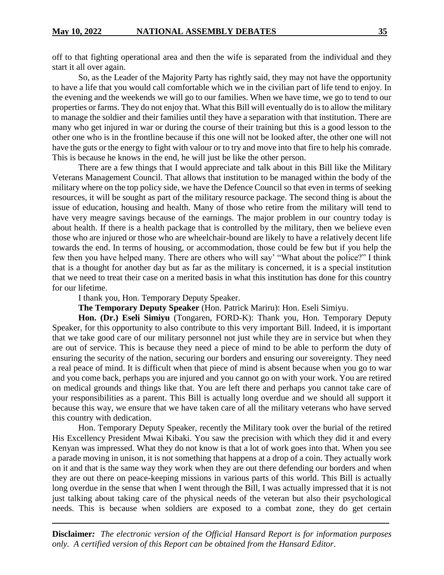off to that fighting operational area and then the wife is separated from the individual and they start it all over again.

So, as the Leader of the Majority Party has rightly said, they may not have the opportunity to have a life that you would call comfortable which we in the civilian part of life tend to enjoy. In the evening and the weekends we will go to our families. When we have time, we go to tend to our properties or farms. They do not enjoy that. What this Bill will eventually do is to allow the military to manage the soldier and their families until they have a separation with that institution. There are many who get injured in war or during the course of their training but this is a good lesson to the other one who is in the frontline because if this one will not be looked after, the other one will not have the guts or the energy to fight with valour or to try and move into that fire to help his comrade. This is because he knows in the end, he will just be like the other person.

There are a few things that I would appreciate and talk about in this Bill like the Military Veterans Management Council. That allows that institution to be managed within the body of the military where on the top policy side, we have the Defence Council so that even in terms of seeking resources, it will be sought as part of the military resource package. The second thing is about the issue of education, housing and health. Many of those who retire from the military will tend to have very meagre savings because of the earnings. The major problem in our country today is about health. If there is a health package that is controlled by the military, then we believe even those who are injured or those who are wheelchair-bound are likely to have a relatively decent life towards the end. In terms of housing, or accommodation, those could be few but if you help the few then you have helped many. There are others who will say' "What about the police?" I think that is a thought for another day but as far as the military is concerned, it is a special institution that we need to treat their case on a merited basis in what this institution has done for this country for our lifetime.

I thank you, Hon. Temporary Deputy Speaker.

**The Temporary Deputy Speaker** (Hon. Patrick Mariru): Hon. Eseli Simiyu.

**Hon. (Dr.) Eseli Simiyu** (Tongaren, FORD-K): Thank you, Hon. Temporary Deputy Speaker, for this opportunity to also contribute to this very important Bill. Indeed, it is important that we take good care of our military personnel not just while they are in service but when they are out of service. This is because they need a piece of mind to be able to perform the duty of ensuring the security of the nation, securing our borders and ensuring our sovereignty. They need a real peace of mind. It is difficult when that piece of mind is absent because when you go to war and you come back, perhaps you are injured and you cannot go on with your work. You are retired on medical grounds and things like that. You are left there and perhaps you cannot take care of your responsibilities as a parent. This Bill is actually long overdue and we should all support it because this way, we ensure that we have taken care of all the military veterans who have served this country with dedication.

Hon. Temporary Deputy Speaker, recently the Military took over the burial of the retired His Excellency President Mwai Kibaki. You saw the precision with which they did it and every Kenyan was impressed. What they do not know is that a lot of work goes into that. When you see a parade moving in unison, it is not something that happens at a drop of a coin. They actually work on it and that is the same way they work when they are out there defending our borders and when they are out there on peace-keeping missions in various parts of this world. This Bill is actually long overdue in the sense that when I went through the Bill, I was actually impressed that it is not just talking about taking care of the physical needs of the veteran but also their psychological needs. This is because when soldiers are exposed to a combat zone, they do get certain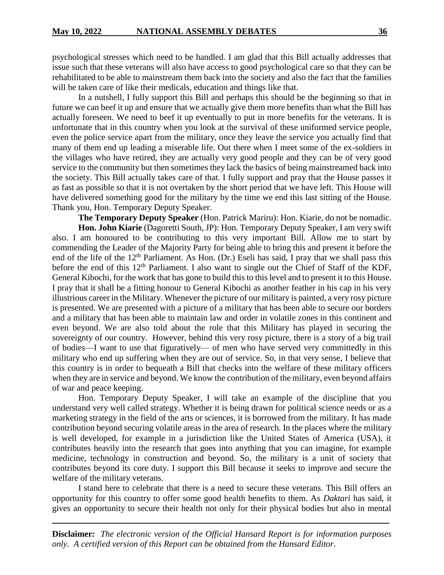psychological stresses which need to be handled. I am glad that this Bill actually addresses that issue such that these veterans will also have access to good psychological care so that they can be rehabilitated to be able to mainstream them back into the society and also the fact that the families will be taken care of like their medicals, education and things like that.

In a nutshell, I fully support this Bill and perhaps this should be the beginning so that in future we can beef it up and ensure that we actually give them more benefits than what the Bill has actually foreseen. We need to beef it up eventually to put in more benefits for the veterans. It is unfortunate that in this country when you look at the survival of these uniformed service people, even the police service apart from the military, once they leave the service you actually find that many of them end up leading a miserable life. Out there when I meet some of the ex-soldiers in the villages who have retired, they are actually very good people and they can be of very good service to the community but then sometimes they lack the basics of being mainstreamed back into the society. This Bill actually takes care of that. I fully support and pray that the House passes it as fast as possible so that it is not overtaken by the short period that we have left. This House will have delivered something good for the military by the time we end this last sitting of the House. Thank you, Hon. Temporary Deputy Speaker.

**The Temporary Deputy Speaker** (Hon. Patrick Mariru): Hon. Kiarie, do not be nomadic.

**Hon. John Kiarie** (Dagoretti South, JP): Hon. Temporary Deputy Speaker, I am very swift also. I am honoured to be contributing to this very important Bill. Allow me to start by commending the Leader of the Majority Party for being able to bring this and present it before the end of the life of the 12<sup>th</sup> Parliament. As Hon. (Dr.) Eseli has said, I pray that we shall pass this before the end of this 12<sup>th</sup> Parliament. I also want to single out the Chief of Staff of the KDF, General Kibochi, for the work that has gone to build this to this level and to present it to this House. I pray that it shall be a fitting honour to General Kibochi as another feather in his cap in his very illustrious career in the Military. Whenever the picture of our military is painted, a very rosy picture is presented. We are presented with a picture of a military that has been able to secure our borders and a military that has been able to maintain law and order in volatile zones in this continent and even beyond. We are also told about the role that this Military has played in securing the sovereignty of our country. However, behind this very rosy picture, there is a story of a big trail of bodies—I want to use that figuratively— of men who have served very committedly in this military who end up suffering when they are out of service. So, in that very sense, I believe that this country is in order to bequeath a Bill that checks into the welfare of these military officers when they are in service and beyond. We know the contribution of the military, even beyond affairs of war and peace keeping.

Hon. Temporary Deputy Speaker, I will take an example of the discipline that you understand very well called strategy. Whether it is being drawn for political science needs or as a marketing strategy in the field of the arts or sciences, it is borrowed from the military. It has made contribution beyond securing volatile areas in the area of research. In the places where the military is well developed, for example in a jurisdiction like the United States of America (USA), it contributes heavily into the research that goes into anything that you can imagine, for example medicine, technology in construction and beyond. So, the military is a unit of society that contributes beyond its core duty. I support this Bill because it seeks to improve and secure the welfare of the military veterans.

I stand here to celebrate that there is a need to secure these veterans. This Bill offers an opportunity for this country to offer some good health benefits to them. As *Daktari* has said, it gives an opportunity to secure their health not only for their physical bodies but also in mental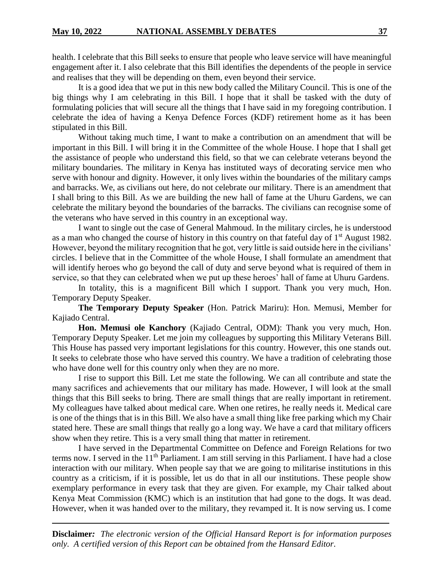health. I celebrate that this Bill seeks to ensure that people who leave service will have meaningful engagement after it. I also celebrate that this Bill identifies the dependents of the people in service and realises that they will be depending on them, even beyond their service.

It is a good idea that we put in this new body called the Military Council. This is one of the big things why I am celebrating in this Bill. I hope that it shall be tasked with the duty of formulating policies that will secure all the things that I have said in my foregoing contribution. I celebrate the idea of having a Kenya Defence Forces (KDF) retirement home as it has been stipulated in this Bill.

Without taking much time, I want to make a contribution on an amendment that will be important in this Bill. I will bring it in the Committee of the whole House. I hope that I shall get the assistance of people who understand this field, so that we can celebrate veterans beyond the military boundaries. The military in Kenya has instituted ways of decorating service men who serve with honour and dignity. However, it only lives within the boundaries of the military camps and barracks. We, as civilians out here, do not celebrate our military. There is an amendment that I shall bring to this Bill. As we are building the new hall of fame at the Uhuru Gardens, we can celebrate the military beyond the boundaries of the barracks. The civilians can recognise some of the veterans who have served in this country in an exceptional way.

I want to single out the case of General Mahmoud. In the military circles, he is understood as a man who changed the course of history in this country on that fateful day of 1<sup>st</sup> August 1982. However, beyond the military recognition that he got, very little is said outside here in the civilians' circles. I believe that in the Committee of the whole House, I shall formulate an amendment that will identify heroes who go beyond the call of duty and serve beyond what is required of them in service, so that they can celebrated when we put up these heroes' hall of fame at Uhuru Gardens.

In totality, this is a magnificent Bill which I support. Thank you very much, Hon. Temporary Deputy Speaker.

**The Temporary Deputy Speaker** (Hon. Patrick Mariru): Hon. Memusi, Member for Kajiado Central.

**Hon. Memusi ole Kanchory** (Kajiado Central, ODM): Thank you very much, Hon. Temporary Deputy Speaker. Let me join my colleagues by supporting this Military Veterans Bill. This House has passed very important legislations for this country. However, this one stands out. It seeks to celebrate those who have served this country. We have a tradition of celebrating those who have done well for this country only when they are no more.

I rise to support this Bill. Let me state the following. We can all contribute and state the many sacrifices and achievements that our military has made. However, I will look at the small things that this Bill seeks to bring. There are small things that are really important in retirement. My colleagues have talked about medical care. When one retires, he really needs it. Medical care is one of the things that is in this Bill. We also have a small thing like free parking which my Chair stated here. These are small things that really go a long way. We have a card that military officers show when they retire. This is a very small thing that matter in retirement.

I have served in the Departmental Committee on Defence and Foreign Relations for two terms now. I served in the 11<sup>th</sup> Parliament. I am still serving in this Parliament. I have had a close interaction with our military. When people say that we are going to militarise institutions in this country as a criticism, if it is possible, let us do that in all our institutions. These people show exemplary performance in every task that they are given. For example, my Chair talked about Kenya Meat Commission (KMC) which is an institution that had gone to the dogs. It was dead. However, when it was handed over to the military, they revamped it. It is now serving us. I come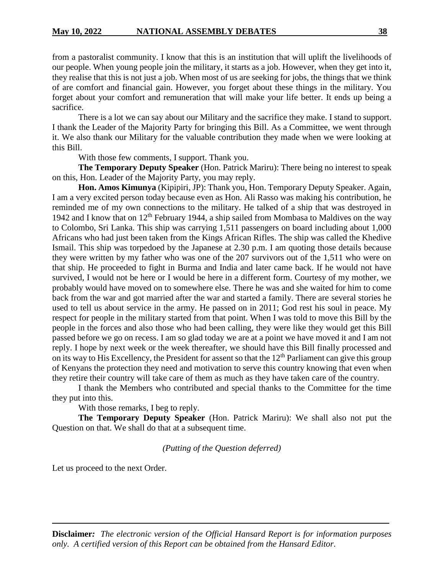from a pastoralist community. I know that this is an institution that will uplift the livelihoods of our people. When young people join the military, it starts as a job. However, when they get into it, they realise that this is not just a job. When most of us are seeking for jobs, the things that we think of are comfort and financial gain. However, you forget about these things in the military. You forget about your comfort and remuneration that will make your life better. It ends up being a sacrifice.

There is a lot we can say about our Military and the sacrifice they make. I stand to support. I thank the Leader of the Majority Party for bringing this Bill. As a Committee, we went through it. We also thank our Military for the valuable contribution they made when we were looking at this Bill.

With those few comments, I support. Thank you.

**The Temporary Deputy Speaker** (Hon. Patrick Mariru): There being no interest to speak on this, Hon. Leader of the Majority Party, you may reply.

**Hon. Amos Kimunya** (Kipipiri, JP): Thank you, Hon. Temporary Deputy Speaker. Again, I am a very excited person today because even as Hon. Ali Rasso was making his contribution, he reminded me of my own connections to the military. He talked of a ship that was destroyed in 1942 and I know that on  $12<sup>th</sup>$  February 1944, a ship sailed from Mombasa to Maldives on the way to Colombo, Sri Lanka. This ship was carrying 1,511 passengers on board including about 1,000 Africans who had just been taken from the Kings African Rifles. The ship was called the Khedive Ismail. This ship was torpedoed by the Japanese at 2.30 p.m. I am quoting those details because they were written by my father who was one of the 207 survivors out of the 1,511 who were on that ship. He proceeded to fight in Burma and India and later came back. If he would not have survived, I would not be here or I would be here in a different form. Courtesy of my mother, we probably would have moved on to somewhere else. There he was and she waited for him to come back from the war and got married after the war and started a family. There are several stories he used to tell us about service in the army. He passed on in 2011; God rest his soul in peace. My respect for people in the military started from that point. When I was told to move this Bill by the people in the forces and also those who had been calling, they were like they would get this Bill passed before we go on recess. I am so glad today we are at a point we have moved it and I am not reply. I hope by next week or the week thereafter, we should have this Bill finally processed and on its way to His Excellency, the President for assent so that the  $12<sup>th</sup>$  Parliament can give this group of Kenyans the protection they need and motivation to serve this country knowing that even when they retire their country will take care of them as much as they have taken care of the country.

I thank the Members who contributed and special thanks to the Committee for the time they put into this.

With those remarks, I beg to reply.

**The Temporary Deputy Speaker** (Hon. Patrick Mariru): We shall also not put the Question on that. We shall do that at a subsequent time.

*(Putting of the Question deferred)*

Let us proceed to the next Order.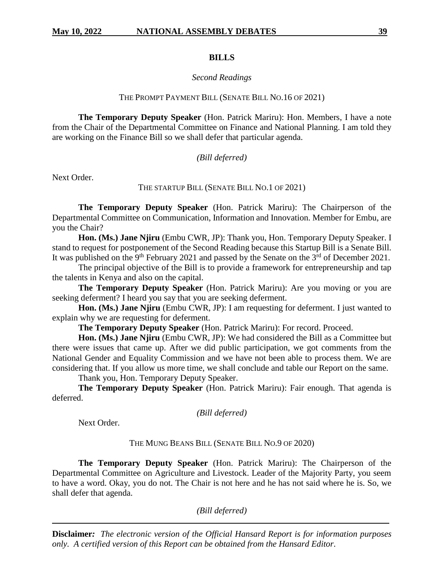### **BILLS**

#### *Second Readings*

## THE PROMPT PAYMENT BILL (SENATE BILL NO.16 OF 2021)

**The Temporary Deputy Speaker** (Hon. Patrick Mariru): Hon. Members, I have a note from the Chair of the Departmental Committee on Finance and National Planning. I am told they are working on the Finance Bill so we shall defer that particular agenda.

## *(Bill deferred)*

Next Order.

#### THE STARTUP BILL (SENATE BILL NO.1 OF 2021)

**The Temporary Deputy Speaker** (Hon. Patrick Mariru): The Chairperson of the Departmental Committee on Communication, Information and Innovation. Member for Embu, are you the Chair?

**Hon. (Ms.) Jane Njiru** (Embu CWR, JP): Thank you, Hon. Temporary Deputy Speaker. I stand to request for postponement of the Second Reading because this Startup Bill is a Senate Bill. It was published on the 9<sup>th</sup> February 2021 and passed by the Senate on the 3<sup>rd</sup> of December 2021.

The principal objective of the Bill is to provide a framework for entrepreneurship and tap the talents in Kenya and also on the capital.

**The Temporary Deputy Speaker** (Hon. Patrick Mariru): Are you moving or you are seeking deferment? I heard you say that you are seeking deferment.

**Hon. (Ms.) Jane Njiru** (Embu CWR, JP): I am requesting for deferment. I just wanted to explain why we are requesting for deferment.

**The Temporary Deputy Speaker** (Hon. Patrick Mariru): For record. Proceed.

**Hon. (Ms.) Jane Njiru** (Embu CWR, JP): We had considered the Bill as a Committee but there were issues that came up. After we did public participation, we got comments from the National Gender and Equality Commission and we have not been able to process them. We are considering that. If you allow us more time, we shall conclude and table our Report on the same.

Thank you, Hon. Temporary Deputy Speaker.

**The Temporary Deputy Speaker** (Hon. Patrick Mariru): Fair enough. That agenda is deferred.

*(Bill deferred)*

Next Order.

THE MUNG BEANS BILL (SENATE BILL NO.9 OF 2020)

**The Temporary Deputy Speaker** (Hon. Patrick Mariru): The Chairperson of the Departmental Committee on Agriculture and Livestock. Leader of the Majority Party, you seem to have a word. Okay, you do not. The Chair is not here and he has not said where he is. So, we shall defer that agenda.

*(Bill deferred)*